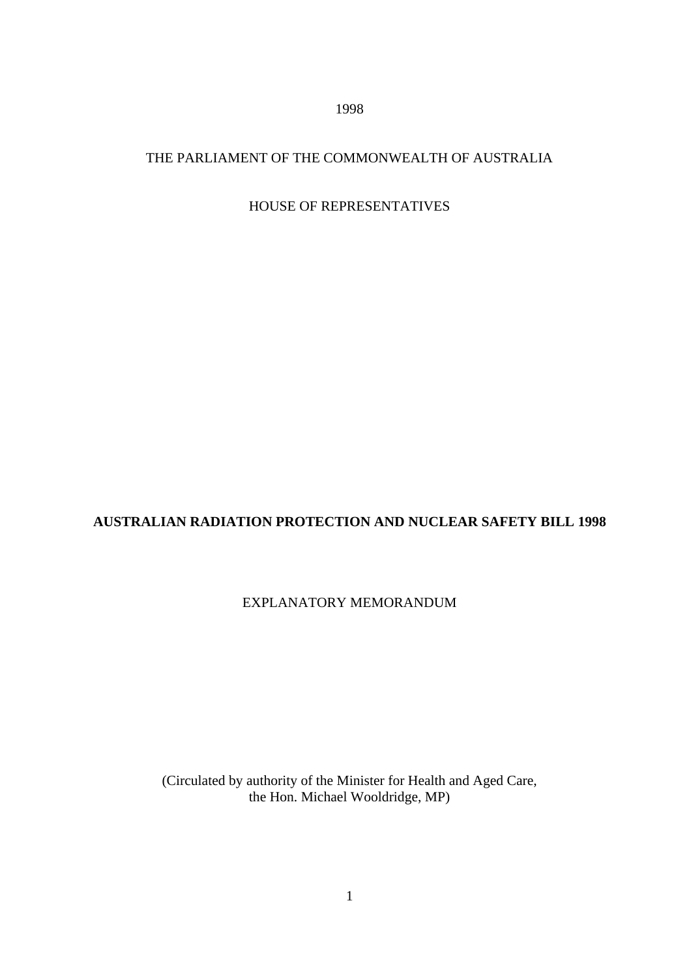1998

# THE PARLIAMENT OF THE COMMONWEALTH OF AUSTRALIA

# HOUSE OF REPRESENTATIVES

# **AUSTRALIAN RADIATION PROTECTION AND NUCLEAR SAFETY BILL 1998**

# EXPLANATORY MEMORANDUM

(Circulated by authority of the Minister for Health and Aged Care, the Hon. Michael Wooldridge, MP)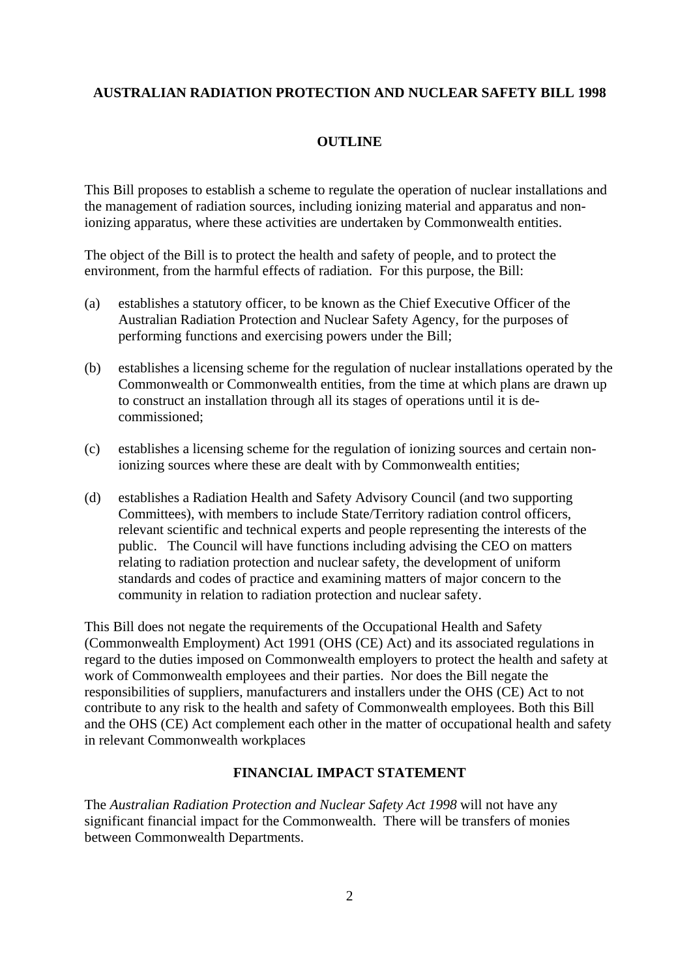### **AUSTRALIAN RADIATION PROTECTION AND NUCLEAR SAFETY BILL 1998**

### **OUTLINE**

This Bill proposes to establish a scheme to regulate the operation of nuclear installations and the management of radiation sources, including ionizing material and apparatus and nonionizing apparatus, where these activities are undertaken by Commonwealth entities.

The object of the Bill is to protect the health and safety of people, and to protect the environment, from the harmful effects of radiation. For this purpose, the Bill:

- (a) establishes a statutory officer, to be known as the Chief Executive Officer of the Australian Radiation Protection and Nuclear Safety Agency, for the purposes of performing functions and exercising powers under the Bill;
- (b) establishes a licensing scheme for the regulation of nuclear installations operated by the Commonwealth or Commonwealth entities, from the time at which plans are drawn up to construct an installation through all its stages of operations until it is decommissioned;
- (c) establishes a licensing scheme for the regulation of ionizing sources and certain nonionizing sources where these are dealt with by Commonwealth entities;
- (d) establishes a Radiation Health and Safety Advisory Council (and two supporting Committees), with members to include State/Territory radiation control officers, relevant scientific and technical experts and people representing the interests of the public. The Council will have functions including advising the CEO on matters relating to radiation protection and nuclear safety, the development of uniform standards and codes of practice and examining matters of major concern to the community in relation to radiation protection and nuclear safety.

This Bill does not negate the requirements of the Occupational Health and Safety (Commonwealth Employment) Act 1991 (OHS (CE) Act) and its associated regulations in regard to the duties imposed on Commonwealth employers to protect the health and safety at work of Commonwealth employees and their parties. Nor does the Bill negate the responsibilities of suppliers, manufacturers and installers under the OHS (CE) Act to not contribute to any risk to the health and safety of Commonwealth employees. Both this Bill and the OHS (CE) Act complement each other in the matter of occupational health and safety in relevant Commonwealth workplaces

### **FINANCIAL IMPACT STATEMENT**

The *Australian Radiation Protection and Nuclear Safety Act 1998* will not have any significant financial impact for the Commonwealth. There will be transfers of monies between Commonwealth Departments.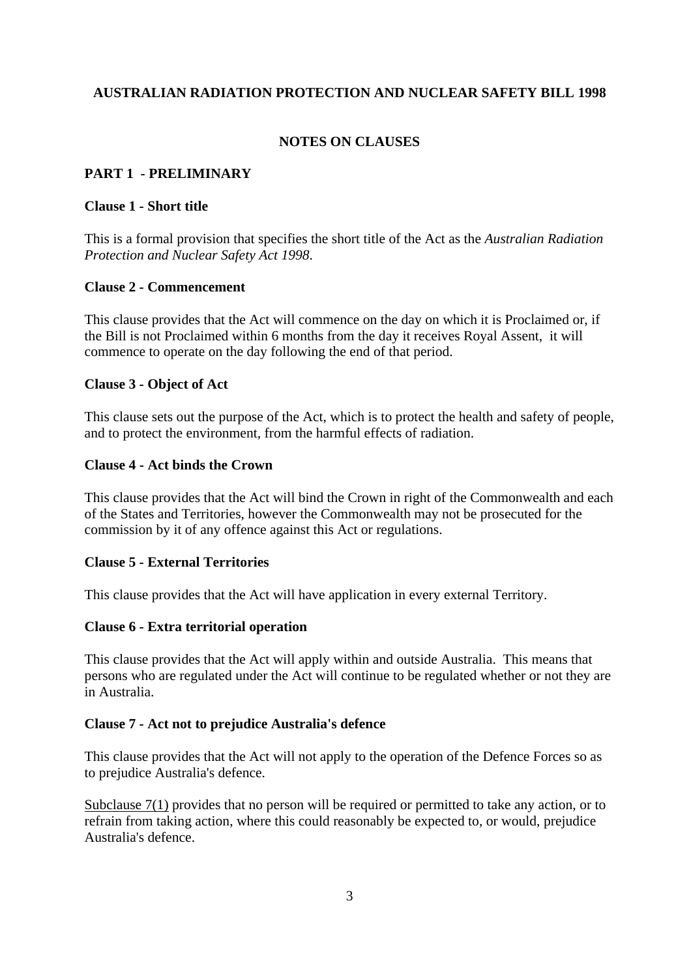### **AUSTRALIAN RADIATION PROTECTION AND NUCLEAR SAFETY BILL 1998**

### **NOTES ON CLAUSES**

#### **PART 1 - PRELIMINARY**

#### **Clause 1 - Short title**

This is a formal provision that specifies the short title of the Act as the *Australian Radiation Protection and Nuclear Safety Act 1998*.

#### **Clause 2 - Commencement**

This clause provides that the Act will commence on the day on which it is Proclaimed or, if the Bill is not Proclaimed within 6 months from the day it receives Royal Assent, it will commence to operate on the day following the end of that period.

#### **Clause 3 - Object of Act**

This clause sets out the purpose of the Act, which is to protect the health and safety of people, and to protect the environment, from the harmful effects of radiation.

#### **Clause 4 - Act binds the Crown**

This clause provides that the Act will bind the Crown in right of the Commonwealth and each of the States and Territories, however the Commonwealth may not be prosecuted for the commission by it of any offence against this Act or regulations.

#### **Clause 5 - External Territories**

This clause provides that the Act will have application in every external Territory.

#### **Clause 6 - Extra territorial operation**

This clause provides that the Act will apply within and outside Australia. This means that persons who are regulated under the Act will continue to be regulated whether or not they are in Australia.

#### **Clause 7 - Act not to prejudice Australia's defence**

This clause provides that the Act will not apply to the operation of the Defence Forces so as to prejudice Australia's defence.

Subclause 7(1) provides that no person will be required or permitted to take any action, or to refrain from taking action, where this could reasonably be expected to, or would, prejudice Australia's defence.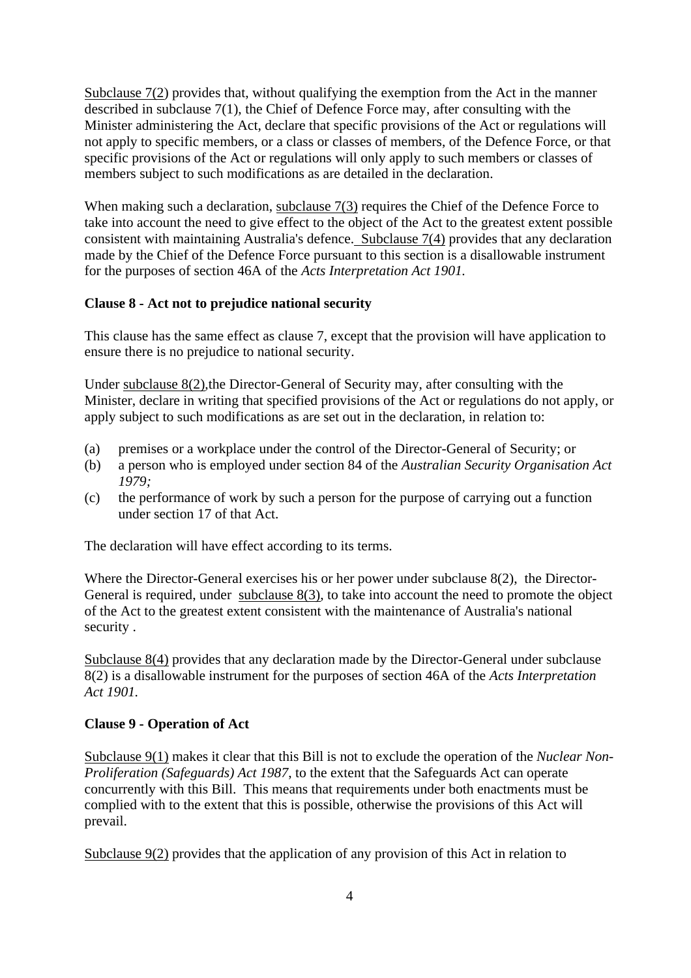Subclause 7(2) provides that, without qualifying the exemption from the Act in the manner described in subclause 7(1), the Chief of Defence Force may, after consulting with the Minister administering the Act, declare that specific provisions of the Act or regulations will not apply to specific members, or a class or classes of members, of the Defence Force, or that specific provisions of the Act or regulations will only apply to such members or classes of members subject to such modifications as are detailed in the declaration.

When making such a declaration, subclause  $7(3)$  requires the Chief of the Defence Force to take into account the need to give effect to the object of the Act to the greatest extent possible consistent with maintaining Australia's defence. Subclause 7(4) provides that any declaration made by the Chief of the Defence Force pursuant to this section is a disallowable instrument for the purposes of section 46A of the *Acts Interpretation Act 1901.*

### **Clause 8 - Act not to prejudice national security**

This clause has the same effect as clause 7, except that the provision will have application to ensure there is no prejudice to national security.

Under subclause 8(2),the Director-General of Security may, after consulting with the Minister, declare in writing that specified provisions of the Act or regulations do not apply, or apply subject to such modifications as are set out in the declaration, in relation to:

- (a) premises or a workplace under the control of the Director-General of Security; or
- (b) a person who is employed under section 84 of the *Australian Security Organisation Act 1979;*
- (c) the performance of work by such a person for the purpose of carrying out a function under section 17 of that Act.

The declaration will have effect according to its terms.

Where the Director-General exercises his or her power under subclause 8(2), the Director-General is required, under subclause 8(3), to take into account the need to promote the object of the Act to the greatest extent consistent with the maintenance of Australia's national security .

Subclause 8(4) provides that any declaration made by the Director-General under subclause 8(2) is a disallowable instrument for the purposes of section 46A of the *Acts Interpretation Act 1901.*

#### **Clause 9 - Operation of Act**

Subclause 9(1) makes it clear that this Bill is not to exclude the operation of the *Nuclear Non-Proliferation (Safeguards) Act 1987*, to the extent that the Safeguards Act can operate concurrently with this Bill. This means that requirements under both enactments must be complied with to the extent that this is possible, otherwise the provisions of this Act will prevail.

Subclause 9(2) provides that the application of any provision of this Act in relation to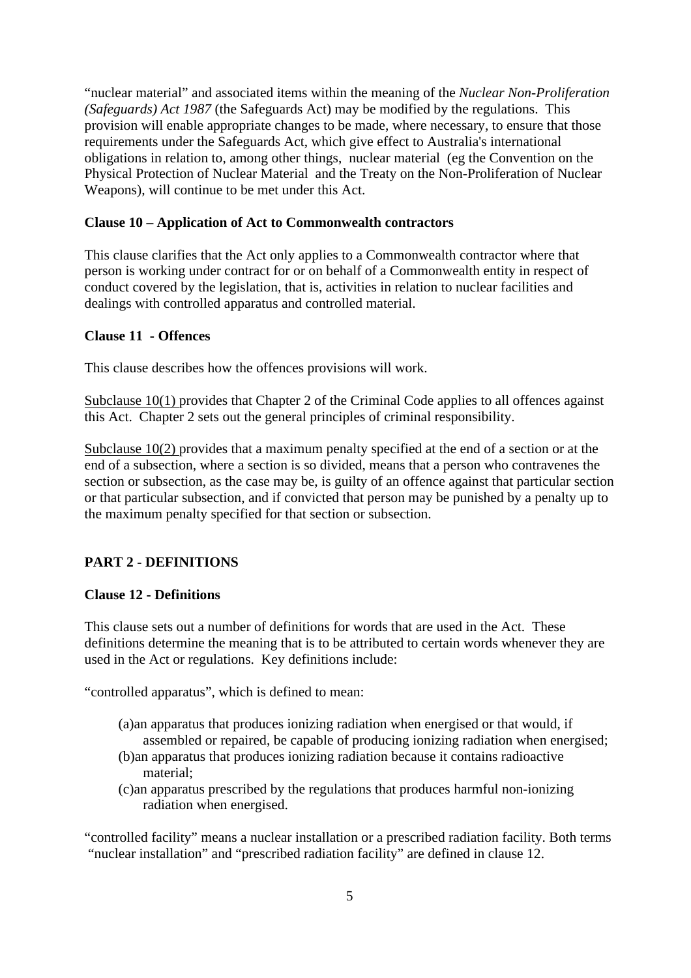"nuclear material" and associated items within the meaning of the *Nuclear Non-Proliferation (Safeguards) Act 1987* (the Safeguards Act) may be modified by the regulations. This provision will enable appropriate changes to be made, where necessary, to ensure that those requirements under the Safeguards Act, which give effect to Australia's international obligations in relation to, among other things, nuclear material (eg the Convention on the Physical Protection of Nuclear Material and the Treaty on the Non-Proliferation of Nuclear Weapons), will continue to be met under this Act.

#### **Clause 10 – Application of Act to Commonwealth contractors**

This clause clarifies that the Act only applies to a Commonwealth contractor where that person is working under contract for or on behalf of a Commonwealth entity in respect of conduct covered by the legislation, that is, activities in relation to nuclear facilities and dealings with controlled apparatus and controlled material.

#### **Clause 11 - Offences**

This clause describes how the offences provisions will work.

Subclause 10(1) provides that Chapter 2 of the Criminal Code applies to all offences against this Act. Chapter 2 sets out the general principles of criminal responsibility.

Subclause 10(2) provides that a maximum penalty specified at the end of a section or at the end of a subsection, where a section is so divided, means that a person who contravenes the section or subsection, as the case may be, is guilty of an offence against that particular section or that particular subsection, and if convicted that person may be punished by a penalty up to the maximum penalty specified for that section or subsection.

#### **PART 2 - DEFINITIONS**

#### **Clause 12 - Definitions**

This clause sets out a number of definitions for words that are used in the Act. These definitions determine the meaning that is to be attributed to certain words whenever they are used in the Act or regulations. Key definitions include:

"controlled apparatus", which is defined to mean:

- (a)an apparatus that produces ionizing radiation when energised or that would, if assembled or repaired, be capable of producing ionizing radiation when energised;
- (b)an apparatus that produces ionizing radiation because it contains radioactive material;
- (c)an apparatus prescribed by the regulations that produces harmful non-ionizing radiation when energised.

"controlled facility" means a nuclear installation or a prescribed radiation facility. Both terms "nuclear installation" and "prescribed radiation facility" are defined in clause 12.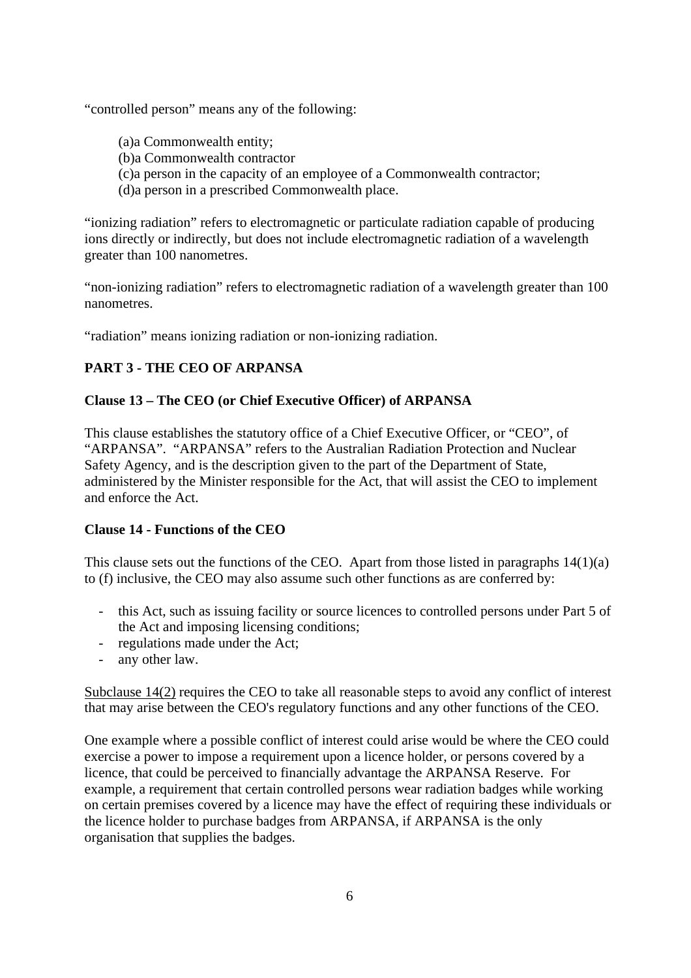"controlled person" means any of the following:

- (a)a Commonwealth entity;
- (b)a Commonwealth contractor
- (c)a person in the capacity of an employee of a Commonwealth contractor;
- (d)a person in a prescribed Commonwealth place.

"ionizing radiation" refers to electromagnetic or particulate radiation capable of producing ions directly or indirectly, but does not include electromagnetic radiation of a wavelength greater than 100 nanometres.

"non-ionizing radiation" refers to electromagnetic radiation of a wavelength greater than 100 nanometres.

"radiation" means ionizing radiation or non-ionizing radiation.

# **PART 3 - THE CEO OF ARPANSA**

# **Clause 13 – The CEO (or Chief Executive Officer) of ARPANSA**

This clause establishes the statutory office of a Chief Executive Officer, or "CEO", of "ARPANSA". "ARPANSA" refers to the Australian Radiation Protection and Nuclear Safety Agency, and is the description given to the part of the Department of State, administered by the Minister responsible for the Act, that will assist the CEO to implement and enforce the Act.

# **Clause 14 - Functions of the CEO**

This clause sets out the functions of the CEO. Apart from those listed in paragraphs  $14(1)(a)$ to (f) inclusive, the CEO may also assume such other functions as are conferred by:

- this Act, such as issuing facility or source licences to controlled persons under Part 5 of the Act and imposing licensing conditions;
- regulations made under the Act;
- any other law.

Subclause 14(2) requires the CEO to take all reasonable steps to avoid any conflict of interest that may arise between the CEO's regulatory functions and any other functions of the CEO.

One example where a possible conflict of interest could arise would be where the CEO could exercise a power to impose a requirement upon a licence holder, or persons covered by a licence, that could be perceived to financially advantage the ARPANSA Reserve. For example, a requirement that certain controlled persons wear radiation badges while working on certain premises covered by a licence may have the effect of requiring these individuals or the licence holder to purchase badges from ARPANSA, if ARPANSA is the only organisation that supplies the badges.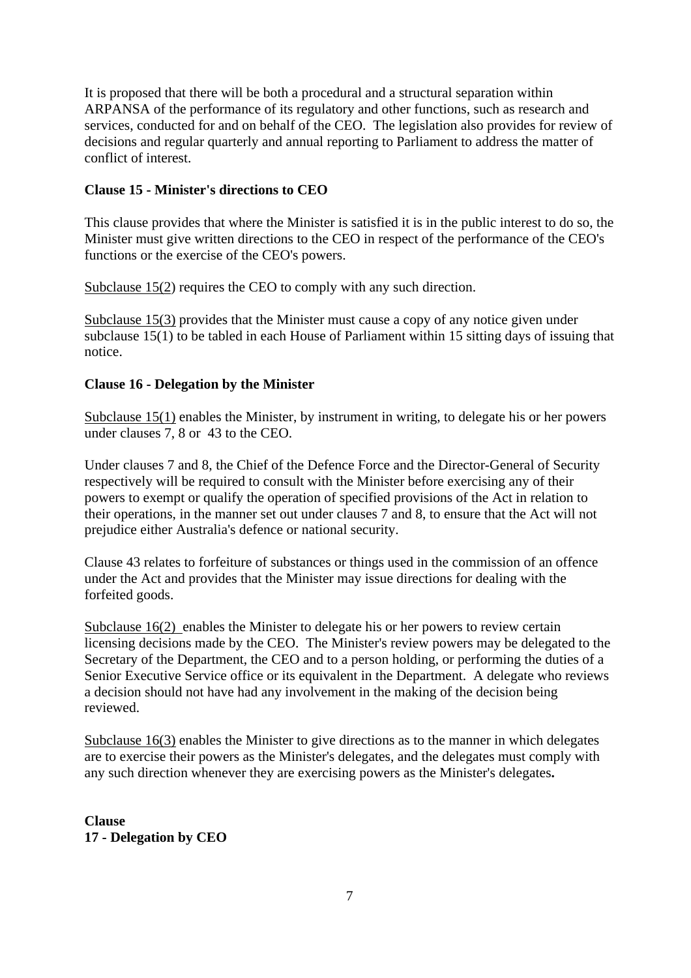It is proposed that there will be both a procedural and a structural separation within ARPANSA of the performance of its regulatory and other functions, such as research and services, conducted for and on behalf of the CEO. The legislation also provides for review of decisions and regular quarterly and annual reporting to Parliament to address the matter of conflict of interest.

### **Clause 15 - Minister's directions to CEO**

This clause provides that where the Minister is satisfied it is in the public interest to do so, the Minister must give written directions to the CEO in respect of the performance of the CEO's functions or the exercise of the CEO's powers.

Subclause 15(2) requires the CEO to comply with any such direction.

Subclause 15(3) provides that the Minister must cause a copy of any notice given under subclause 15(1) to be tabled in each House of Parliament within 15 sitting days of issuing that notice.

### **Clause 16 - Delegation by the Minister**

Subclause 15(1) enables the Minister, by instrument in writing, to delegate his or her powers under clauses 7, 8 or 43 to the CEO.

Under clauses 7 and 8, the Chief of the Defence Force and the Director-General of Security respectively will be required to consult with the Minister before exercising any of their powers to exempt or qualify the operation of specified provisions of the Act in relation to their operations, in the manner set out under clauses 7 and 8, to ensure that the Act will not prejudice either Australia's defence or national security.

Clause 43 relates to forfeiture of substances or things used in the commission of an offence under the Act and provides that the Minister may issue directions for dealing with the forfeited goods.

Subclause 16(2) enables the Minister to delegate his or her powers to review certain licensing decisions made by the CEO. The Minister's review powers may be delegated to the Secretary of the Department, the CEO and to a person holding, or performing the duties of a Senior Executive Service office or its equivalent in the Department. A delegate who reviews a decision should not have had any involvement in the making of the decision being reviewed.

Subclause 16(3) enables the Minister to give directions as to the manner in which delegates are to exercise their powers as the Minister's delegates, and the delegates must comply with any such direction whenever they are exercising powers as the Minister's delegates**.**

**Clause 17 - Delegation by CEO**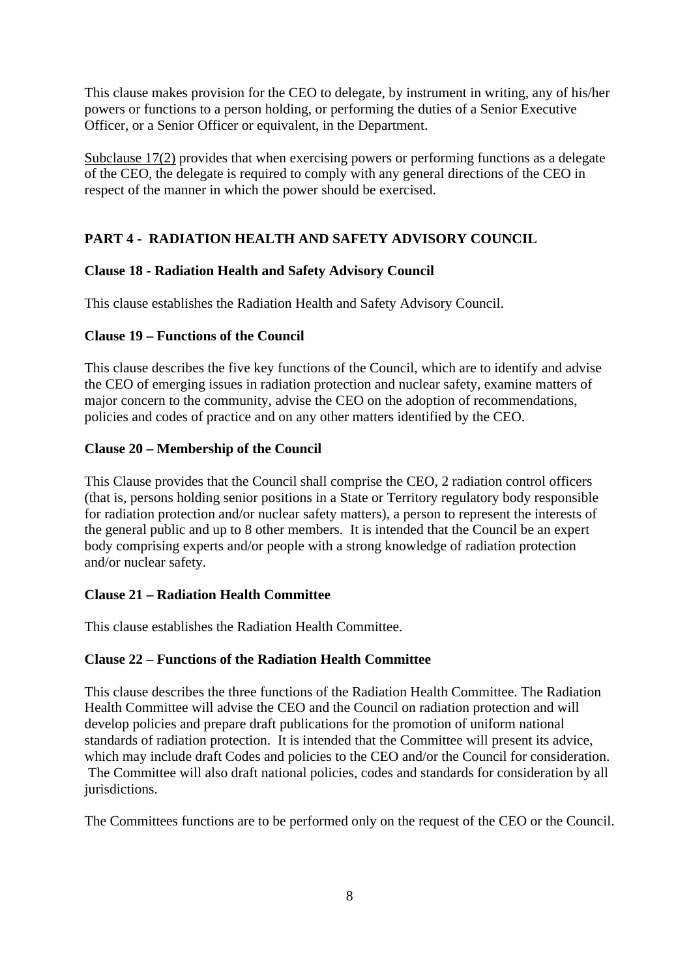This clause makes provision for the CEO to delegate, by instrument in writing, any of his/her powers or functions to a person holding, or performing the duties of a Senior Executive Officer, or a Senior Officer or equivalent, in the Department.

Subclause 17(2) provides that when exercising powers or performing functions as a delegate of the CEO, the delegate is required to comply with any general directions of the CEO in respect of the manner in which the power should be exercised.

# **PART 4 - RADIATION HEALTH AND SAFETY ADVISORY COUNCIL**

# **Clause 18 - Radiation Health and Safety Advisory Council**

This clause establishes the Radiation Health and Safety Advisory Council.

# **Clause 19 – Functions of the Council**

This clause describes the five key functions of the Council, which are to identify and advise the CEO of emerging issues in radiation protection and nuclear safety, examine matters of major concern to the community, advise the CEO on the adoption of recommendations, policies and codes of practice and on any other matters identified by the CEO.

# **Clause 20 – Membership of the Council**

This Clause provides that the Council shall comprise the CEO, 2 radiation control officers (that is, persons holding senior positions in a State or Territory regulatory body responsible for radiation protection and/or nuclear safety matters), a person to represent the interests of the general public and up to 8 other members. It is intended that the Council be an expert body comprising experts and/or people with a strong knowledge of radiation protection and/or nuclear safety.

# **Clause 21 – Radiation Health Committee**

This clause establishes the Radiation Health Committee.

# **Clause 22 – Functions of the Radiation Health Committee**

This clause describes the three functions of the Radiation Health Committee. The Radiation Health Committee will advise the CEO and the Council on radiation protection and will develop policies and prepare draft publications for the promotion of uniform national standards of radiation protection. It is intended that the Committee will present its advice, which may include draft Codes and policies to the CEO and/or the Council for consideration. The Committee will also draft national policies, codes and standards for consideration by all jurisdictions.

The Committees functions are to be performed only on the request of the CEO or the Council.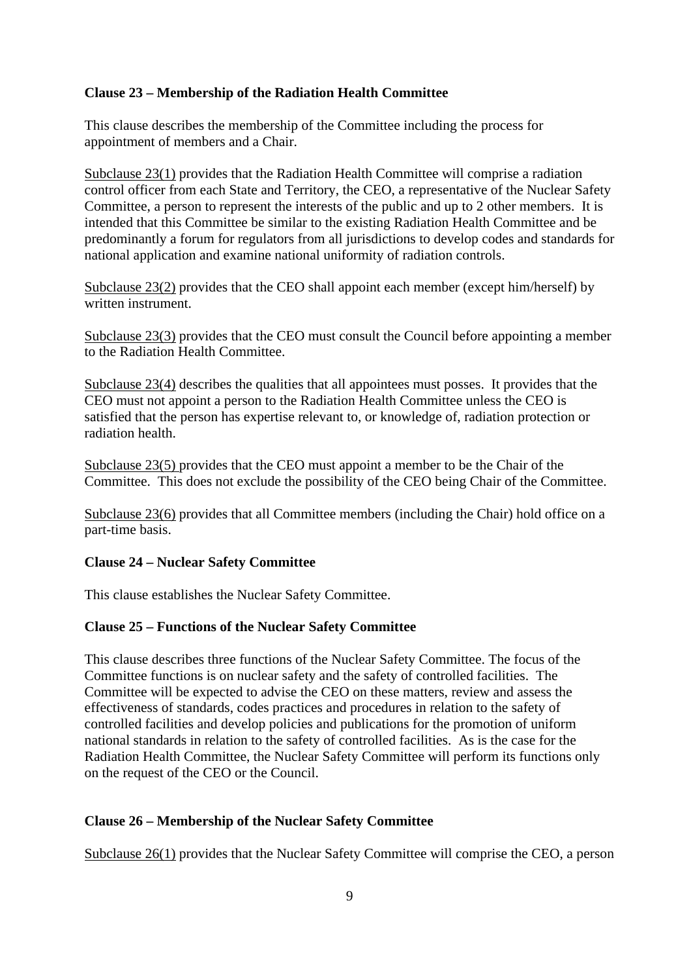### **Clause 23 – Membership of the Radiation Health Committee**

This clause describes the membership of the Committee including the process for appointment of members and a Chair.

Subclause 23(1) provides that the Radiation Health Committee will comprise a radiation control officer from each State and Territory, the CEO, a representative of the Nuclear Safety Committee, a person to represent the interests of the public and up to 2 other members. It is intended that this Committee be similar to the existing Radiation Health Committee and be predominantly a forum for regulators from all jurisdictions to develop codes and standards for national application and examine national uniformity of radiation controls.

Subclause 23(2) provides that the CEO shall appoint each member (except him/herself) by written instrument.

Subclause 23(3) provides that the CEO must consult the Council before appointing a member to the Radiation Health Committee.

Subclause 23(4) describes the qualities that all appointees must posses. It provides that the CEO must not appoint a person to the Radiation Health Committee unless the CEO is satisfied that the person has expertise relevant to, or knowledge of, radiation protection or radiation health.

Subclause 23(5) provides that the CEO must appoint a member to be the Chair of the Committee. This does not exclude the possibility of the CEO being Chair of the Committee.

Subclause 23(6) provides that all Committee members (including the Chair) hold office on a part-time basis.

#### **Clause 24 – Nuclear Safety Committee**

This clause establishes the Nuclear Safety Committee.

#### **Clause 25 – Functions of the Nuclear Safety Committee**

This clause describes three functions of the Nuclear Safety Committee. The focus of the Committee functions is on nuclear safety and the safety of controlled facilities. The Committee will be expected to advise the CEO on these matters, review and assess the effectiveness of standards, codes practices and procedures in relation to the safety of controlled facilities and develop policies and publications for the promotion of uniform national standards in relation to the safety of controlled facilities. As is the case for the Radiation Health Committee, the Nuclear Safety Committee will perform its functions only on the request of the CEO or the Council.

#### **Clause 26 – Membership of the Nuclear Safety Committee**

Subclause 26(1) provides that the Nuclear Safety Committee will comprise the CEO, a person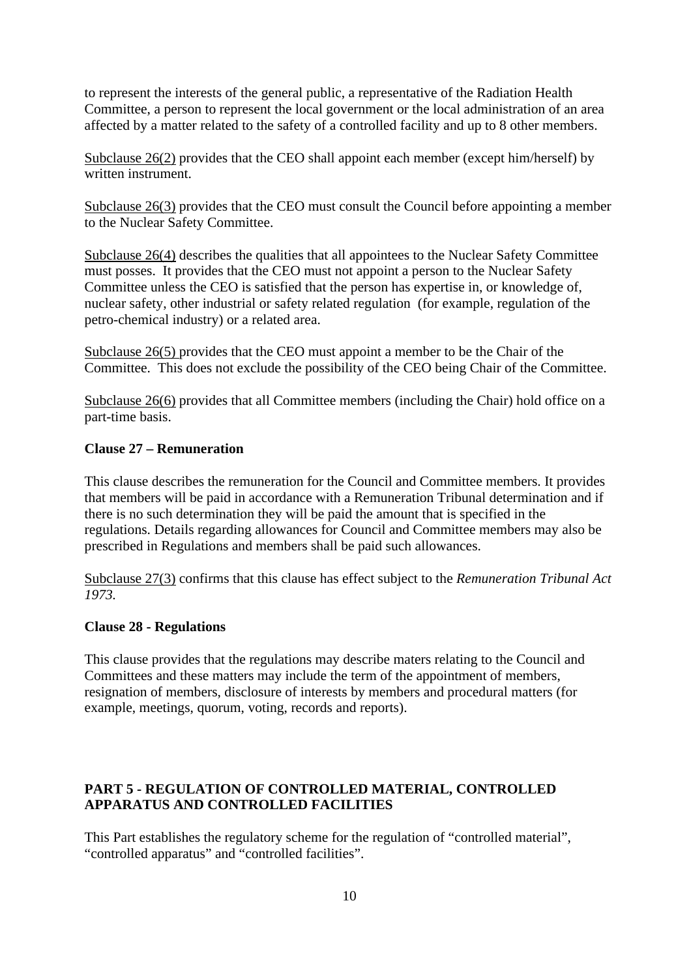to represent the interests of the general public, a representative of the Radiation Health Committee, a person to represent the local government or the local administration of an area affected by a matter related to the safety of a controlled facility and up to 8 other members.

Subclause 26(2) provides that the CEO shall appoint each member (except him/herself) by written instrument.

Subclause 26(3) provides that the CEO must consult the Council before appointing a member to the Nuclear Safety Committee.

Subclause 26(4) describes the qualities that all appointees to the Nuclear Safety Committee must posses. It provides that the CEO must not appoint a person to the Nuclear Safety Committee unless the CEO is satisfied that the person has expertise in, or knowledge of, nuclear safety, other industrial or safety related regulation (for example, regulation of the petro-chemical industry) or a related area.

Subclause 26(5) provides that the CEO must appoint a member to be the Chair of the Committee. This does not exclude the possibility of the CEO being Chair of the Committee.

Subclause 26(6) provides that all Committee members (including the Chair) hold office on a part-time basis.

#### **Clause 27 – Remuneration**

This clause describes the remuneration for the Council and Committee members. It provides that members will be paid in accordance with a Remuneration Tribunal determination and if there is no such determination they will be paid the amount that is specified in the regulations. Details regarding allowances for Council and Committee members may also be prescribed in Regulations and members shall be paid such allowances.

Subclause 27(3) confirms that this clause has effect subject to the *Remuneration Tribunal Act 1973.*

#### **Clause 28 - Regulations**

This clause provides that the regulations may describe maters relating to the Council and Committees and these matters may include the term of the appointment of members, resignation of members, disclosure of interests by members and procedural matters (for example, meetings, quorum, voting, records and reports).

# **PART 5 - REGULATION OF CONTROLLED MATERIAL, CONTROLLED APPARATUS AND CONTROLLED FACILITIES**

This Part establishes the regulatory scheme for the regulation of "controlled material", "controlled apparatus" and "controlled facilities".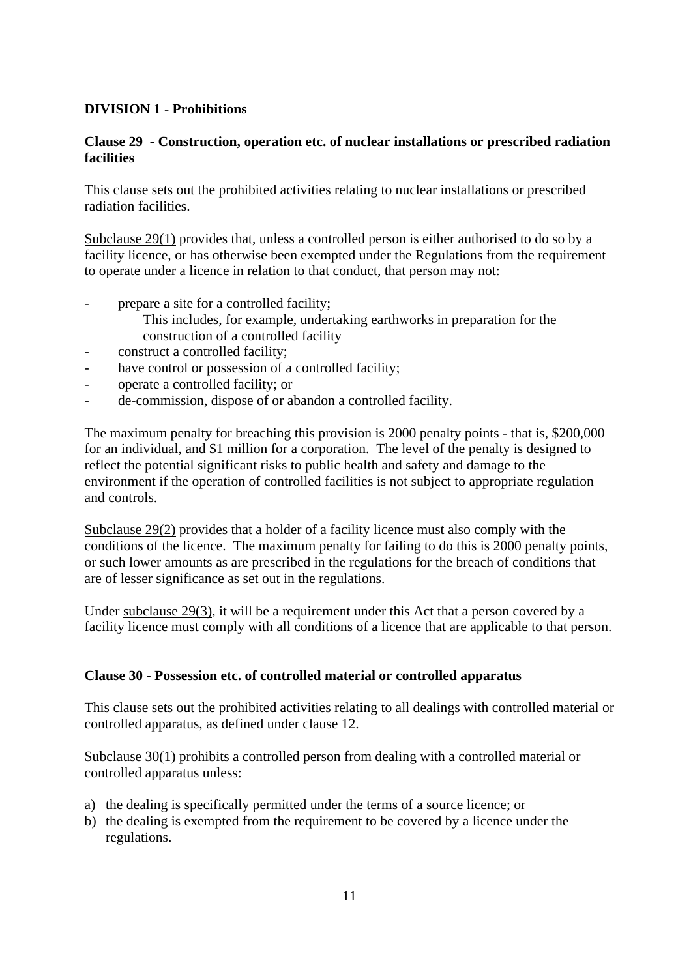# **DIVISION 1 - Prohibitions**

# **Clause 29 - Construction, operation etc. of nuclear installations or prescribed radiation facilities**

This clause sets out the prohibited activities relating to nuclear installations or prescribed radiation facilities.

Subclause 29(1) provides that, unless a controlled person is either authorised to do so by a facility licence, or has otherwise been exempted under the Regulations from the requirement to operate under a licence in relation to that conduct, that person may not:

- prepare a site for a controlled facility;
	- This includes, for example, undertaking earthworks in preparation for the construction of a controlled facility
- construct a controlled facility:
- have control or possession of a controlled facility;
- operate a controlled facility; or
- de-commission, dispose of or abandon a controlled facility.

The maximum penalty for breaching this provision is 2000 penalty points - that is, \$200,000 for an individual, and \$1 million for a corporation. The level of the penalty is designed to reflect the potential significant risks to public health and safety and damage to the environment if the operation of controlled facilities is not subject to appropriate regulation and controls.

Subclause 29(2) provides that a holder of a facility licence must also comply with the conditions of the licence. The maximum penalty for failing to do this is 2000 penalty points, or such lower amounts as are prescribed in the regulations for the breach of conditions that are of lesser significance as set out in the regulations.

Under subclause 29(3), it will be a requirement under this Act that a person covered by a facility licence must comply with all conditions of a licence that are applicable to that person.

#### **Clause 30 - Possession etc. of controlled material or controlled apparatus**

This clause sets out the prohibited activities relating to all dealings with controlled material or controlled apparatus, as defined under clause 12.

Subclause 30(1) prohibits a controlled person from dealing with a controlled material or controlled apparatus unless:

- a) the dealing is specifically permitted under the terms of a source licence; or
- b) the dealing is exempted from the requirement to be covered by a licence under the regulations.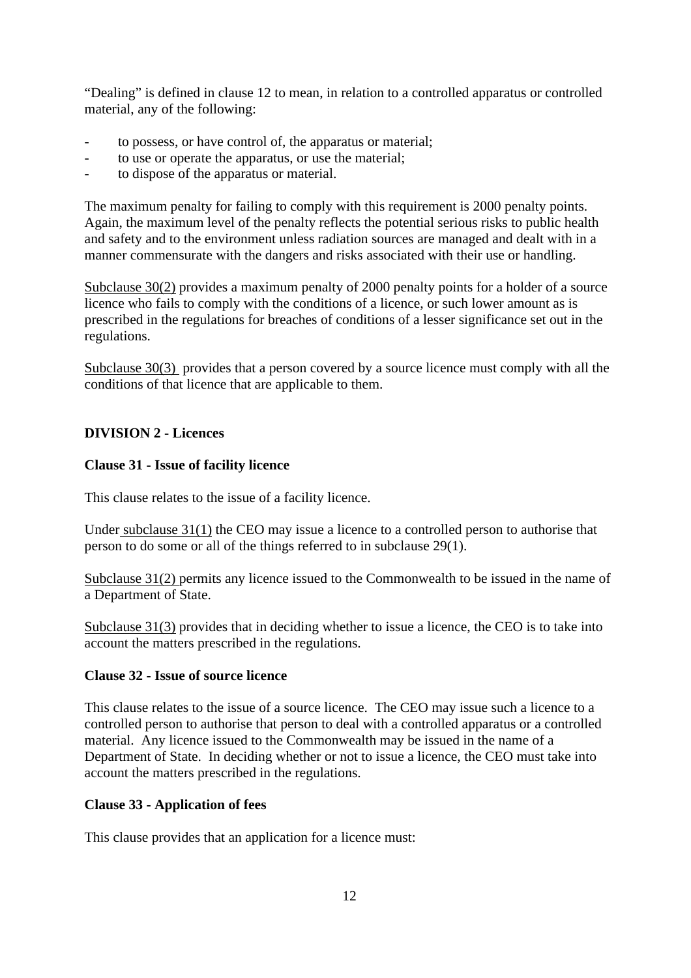"Dealing" is defined in clause 12 to mean, in relation to a controlled apparatus or controlled material, any of the following:

- to possess, or have control of, the apparatus or material;
- to use or operate the apparatus, or use the material;
- to dispose of the apparatus or material.

The maximum penalty for failing to comply with this requirement is 2000 penalty points. Again, the maximum level of the penalty reflects the potential serious risks to public health and safety and to the environment unless radiation sources are managed and dealt with in a manner commensurate with the dangers and risks associated with their use or handling.

Subclause 30(2) provides a maximum penalty of 2000 penalty points for a holder of a source licence who fails to comply with the conditions of a licence, or such lower amount as is prescribed in the regulations for breaches of conditions of a lesser significance set out in the regulations.

Subclause 30(3) provides that a person covered by a source licence must comply with all the conditions of that licence that are applicable to them.

#### **DIVISION 2 - Licences**

#### **Clause 31 - Issue of facility licence**

This clause relates to the issue of a facility licence.

Under subclause 31(1) the CEO may issue a licence to a controlled person to authorise that person to do some or all of the things referred to in subclause 29(1).

Subclause 31(2) permits any licence issued to the Commonwealth to be issued in the name of a Department of State.

Subclause 31(3) provides that in deciding whether to issue a licence, the CEO is to take into account the matters prescribed in the regulations.

#### **Clause 32 - Issue of source licence**

This clause relates to the issue of a source licence. The CEO may issue such a licence to a controlled person to authorise that person to deal with a controlled apparatus or a controlled material. Any licence issued to the Commonwealth may be issued in the name of a Department of State. In deciding whether or not to issue a licence, the CEO must take into account the matters prescribed in the regulations.

#### **Clause 33 - Application of fees**

This clause provides that an application for a licence must: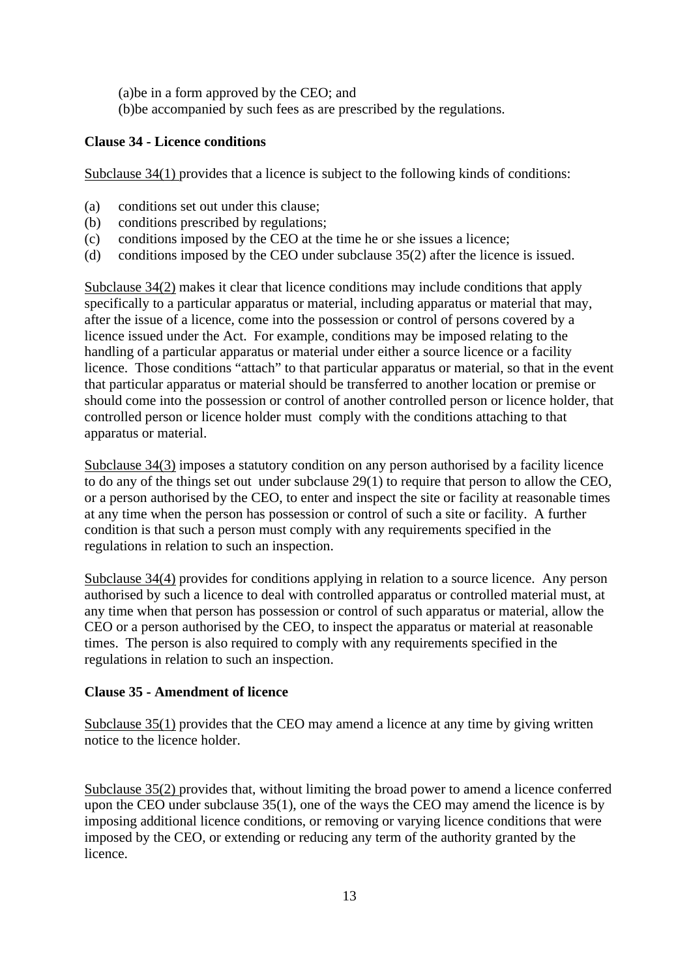(a)be in a form approved by the CEO; and (b)be accompanied by such fees as are prescribed by the regulations.

#### **Clause 34 - Licence conditions**

Subclause 34(1) provides that a licence is subject to the following kinds of conditions:

- (a) conditions set out under this clause;
- (b) conditions prescribed by regulations;
- (c) conditions imposed by the CEO at the time he or she issues a licence;
- (d) conditions imposed by the CEO under subclause 35(2) after the licence is issued.

Subclause 34(2) makes it clear that licence conditions may include conditions that apply specifically to a particular apparatus or material, including apparatus or material that may, after the issue of a licence, come into the possession or control of persons covered by a licence issued under the Act. For example, conditions may be imposed relating to the handling of a particular apparatus or material under either a source licence or a facility licence. Those conditions "attach" to that particular apparatus or material, so that in the event that particular apparatus or material should be transferred to another location or premise or should come into the possession or control of another controlled person or licence holder, that controlled person or licence holder must comply with the conditions attaching to that apparatus or material.

Subclause 34(3) imposes a statutory condition on any person authorised by a facility licence to do any of the things set out under subclause 29(1) to require that person to allow the CEO, or a person authorised by the CEO, to enter and inspect the site or facility at reasonable times at any time when the person has possession or control of such a site or facility. A further condition is that such a person must comply with any requirements specified in the regulations in relation to such an inspection.

Subclause 34(4) provides for conditions applying in relation to a source licence. Any person authorised by such a licence to deal with controlled apparatus or controlled material must, at any time when that person has possession or control of such apparatus or material, allow the CEO or a person authorised by the CEO, to inspect the apparatus or material at reasonable times. The person is also required to comply with any requirements specified in the regulations in relation to such an inspection.

#### **Clause 35 - Amendment of licence**

Subclause 35(1) provides that the CEO may amend a licence at any time by giving written notice to the licence holder.

Subclause 35(2) provides that, without limiting the broad power to amend a licence conferred upon the CEO under subclause 35(1), one of the ways the CEO may amend the licence is by imposing additional licence conditions, or removing or varying licence conditions that were imposed by the CEO, or extending or reducing any term of the authority granted by the licence.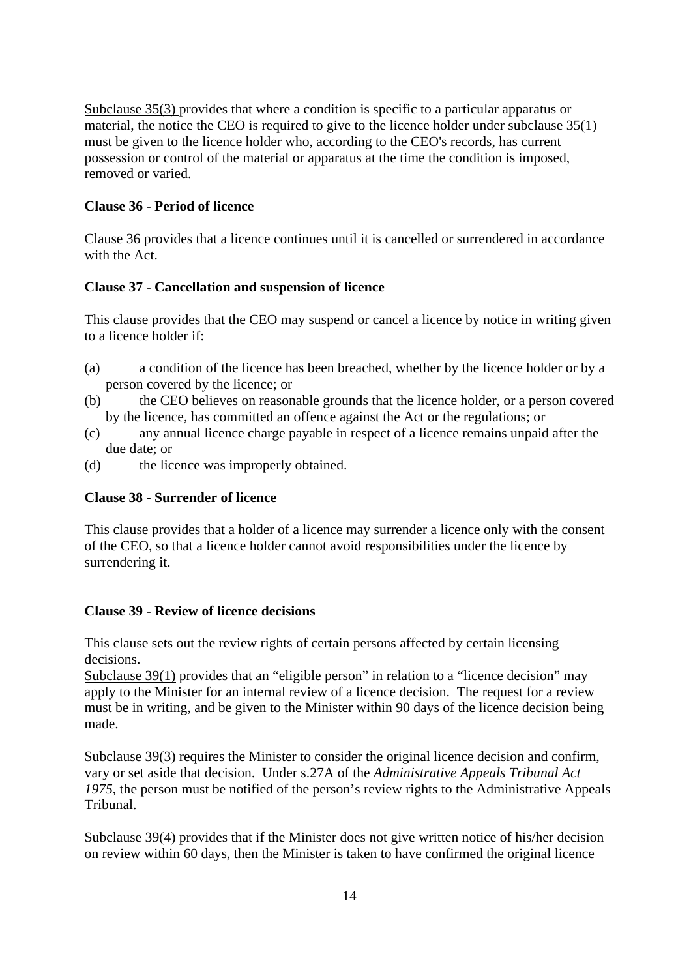Subclause 35(3) provides that where a condition is specific to a particular apparatus or material, the notice the CEO is required to give to the licence holder under subclause 35(1) must be given to the licence holder who, according to the CEO's records, has current possession or control of the material or apparatus at the time the condition is imposed, removed or varied.

### **Clause 36 - Period of licence**

Clause 36 provides that a licence continues until it is cancelled or surrendered in accordance with the Act.

#### **Clause 37 - Cancellation and suspension of licence**

This clause provides that the CEO may suspend or cancel a licence by notice in writing given to a licence holder if:

- (a) a condition of the licence has been breached, whether by the licence holder or by a person covered by the licence; or
- (b) the CEO believes on reasonable grounds that the licence holder, or a person covered by the licence, has committed an offence against the Act or the regulations; or
- (c) any annual licence charge payable in respect of a licence remains unpaid after the due date; or
- (d) the licence was improperly obtained.

#### **Clause 38 - Surrender of licence**

This clause provides that a holder of a licence may surrender a licence only with the consent of the CEO, so that a licence holder cannot avoid responsibilities under the licence by surrendering it.

#### **Clause 39 - Review of licence decisions**

This clause sets out the review rights of certain persons affected by certain licensing decisions.

Subclause 39(1) provides that an "eligible person" in relation to a "licence decision" may apply to the Minister for an internal review of a licence decision. The request for a review must be in writing, and be given to the Minister within 90 days of the licence decision being made.

Subclause 39(3) requires the Minister to consider the original licence decision and confirm, vary or set aside that decision. Under s.27A of the *Administrative Appeals Tribunal Act 1975*, the person must be notified of the person's review rights to the Administrative Appeals Tribunal.

Subclause 39(4) provides that if the Minister does not give written notice of his/her decision on review within 60 days, then the Minister is taken to have confirmed the original licence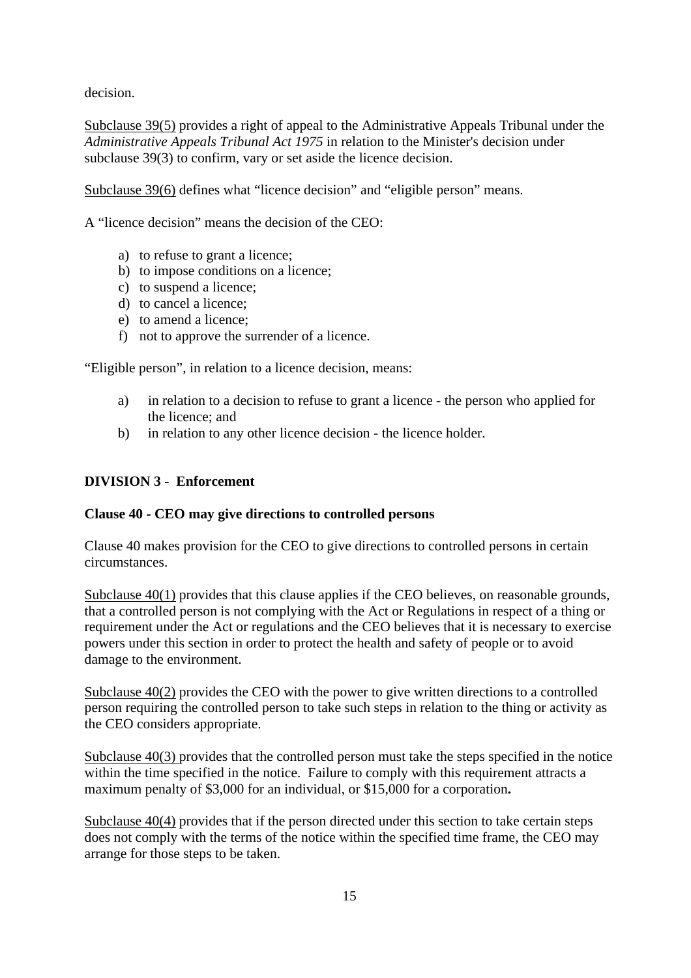decision.

Subclause 39(5) provides a right of appeal to the Administrative Appeals Tribunal under the *Administrative Appeals Tribunal Act 1975* in relation to the Minister's decision under subclause 39(3) to confirm, vary or set aside the licence decision.

Subclause 39(6) defines what "licence decision" and "eligible person" means.

A "licence decision" means the decision of the CEO:

- a) to refuse to grant a licence;
- b) to impose conditions on a licence;
- c) to suspend a licence;
- d) to cancel a licence;
- e) to amend a licence;
- f) not to approve the surrender of a licence.

"Eligible person", in relation to a licence decision, means:

- a) in relation to a decision to refuse to grant a licence the person who applied for the licence; and
- b) in relation to any other licence decision the licence holder.

### **DIVISION 3 - Enforcement**

#### **Clause 40 - CEO may give directions to controlled persons**

Clause 40 makes provision for the CEO to give directions to controlled persons in certain circumstances.

Subclause 40(1) provides that this clause applies if the CEO believes, on reasonable grounds, that a controlled person is not complying with the Act or Regulations in respect of a thing or requirement under the Act or regulations and the CEO believes that it is necessary to exercise powers under this section in order to protect the health and safety of people or to avoid damage to the environment.

Subclause 40(2) provides the CEO with the power to give written directions to a controlled person requiring the controlled person to take such steps in relation to the thing or activity as the CEO considers appropriate.

Subclause 40(3) provides that the controlled person must take the steps specified in the notice within the time specified in the notice. Failure to comply with this requirement attracts a maximum penalty of \$3,000 for an individual, or \$15,000 for a corporation**.**

Subclause 40(4) provides that if the person directed under this section to take certain steps does not comply with the terms of the notice within the specified time frame, the CEO may arrange for those steps to be taken.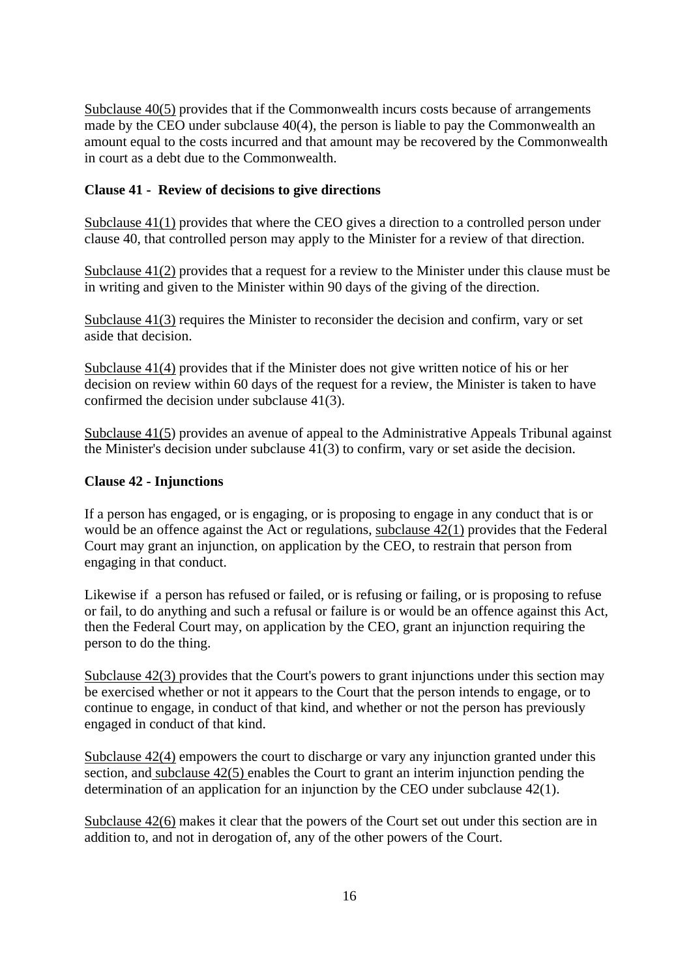Subclause 40(5) provides that if the Commonwealth incurs costs because of arrangements made by the CEO under subclause 40(4), the person is liable to pay the Commonwealth an amount equal to the costs incurred and that amount may be recovered by the Commonwealth in court as a debt due to the Commonwealth.

#### **Clause 41 - Review of decisions to give directions**

Subclause 41(1) provides that where the CEO gives a direction to a controlled person under clause 40, that controlled person may apply to the Minister for a review of that direction.

Subclause 41(2) provides that a request for a review to the Minister under this clause must be in writing and given to the Minister within 90 days of the giving of the direction.

Subclause 41(3) requires the Minister to reconsider the decision and confirm, vary or set aside that decision.

Subclause 41(4) provides that if the Minister does not give written notice of his or her decision on review within 60 days of the request for a review, the Minister is taken to have confirmed the decision under subclause 41(3).

Subclause 41(5) provides an avenue of appeal to the Administrative Appeals Tribunal against the Minister's decision under subclause 41(3) to confirm, vary or set aside the decision.

#### **Clause 42 - Injunctions**

If a person has engaged, or is engaging, or is proposing to engage in any conduct that is or would be an offence against the Act or regulations, subclause 42(1) provides that the Federal Court may grant an injunction, on application by the CEO, to restrain that person from engaging in that conduct.

Likewise if a person has refused or failed, or is refusing or failing, or is proposing to refuse or fail, to do anything and such a refusal or failure is or would be an offence against this Act, then the Federal Court may, on application by the CEO, grant an injunction requiring the person to do the thing.

Subclause 42(3) provides that the Court's powers to grant injunctions under this section may be exercised whether or not it appears to the Court that the person intends to engage, or to continue to engage, in conduct of that kind, and whether or not the person has previously engaged in conduct of that kind.

Subclause 42(4) empowers the court to discharge or vary any injunction granted under this section, and subclause 42(5) enables the Court to grant an interim injunction pending the determination of an application for an injunction by the CEO under subclause 42(1).

Subclause 42(6) makes it clear that the powers of the Court set out under this section are in addition to, and not in derogation of, any of the other powers of the Court.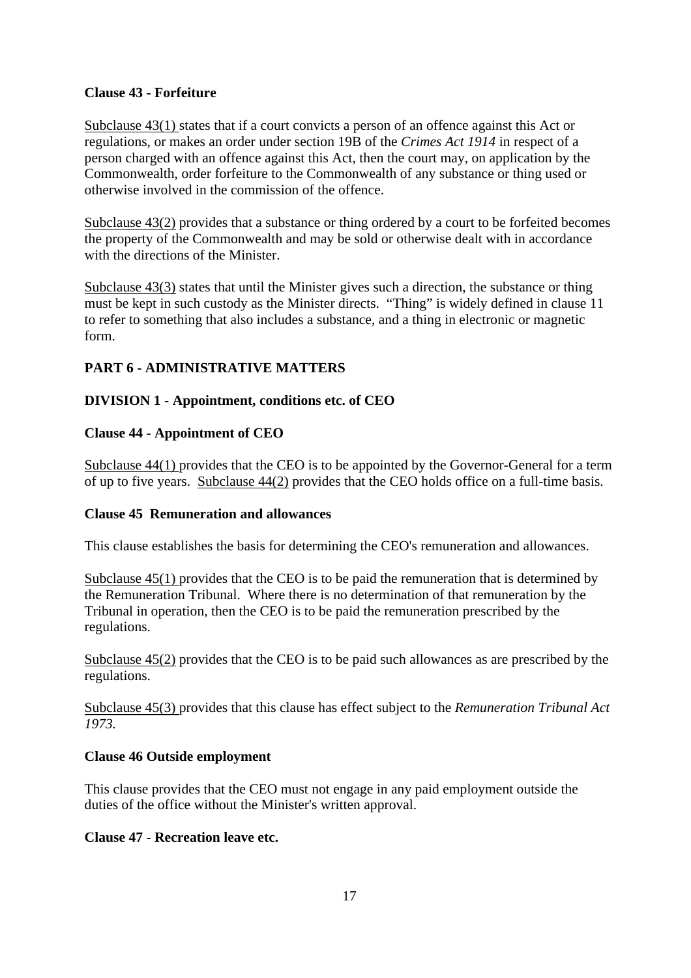### **Clause 43 - Forfeiture**

Subclause 43(1) states that if a court convicts a person of an offence against this Act or regulations, or makes an order under section 19B of the *Crimes Act 1914* in respect of a person charged with an offence against this Act, then the court may, on application by the Commonwealth, order forfeiture to the Commonwealth of any substance or thing used or otherwise involved in the commission of the offence.

Subclause 43(2) provides that a substance or thing ordered by a court to be forfeited becomes the property of the Commonwealth and may be sold or otherwise dealt with in accordance with the directions of the Minister.

Subclause 43(3) states that until the Minister gives such a direction, the substance or thing must be kept in such custody as the Minister directs. "Thing" is widely defined in clause 11 to refer to something that also includes a substance, and a thing in electronic or magnetic form.

# **PART 6 - ADMINISTRATIVE MATTERS**

# **DIVISION 1 - Appointment, conditions etc. of CEO**

### **Clause 44 - Appointment of CEO**

Subclause 44(1) provides that the CEO is to be appointed by the Governor-General for a term of up to five years. Subclause 44(2) provides that the CEO holds office on a full-time basis.

#### **Clause 45 Remuneration and allowances**

This clause establishes the basis for determining the CEO's remuneration and allowances.

Subclause 45(1) provides that the CEO is to be paid the remuneration that is determined by the Remuneration Tribunal. Where there is no determination of that remuneration by the Tribunal in operation, then the CEO is to be paid the remuneration prescribed by the regulations.

Subclause 45(2) provides that the CEO is to be paid such allowances as are prescribed by the regulations.

Subclause 45(3) provides that this clause has effect subject to the *Remuneration Tribunal Act 1973.*

# **Clause 46 Outside employment**

This clause provides that the CEO must not engage in any paid employment outside the duties of the office without the Minister's written approval.

#### **Clause 47 - Recreation leave etc.**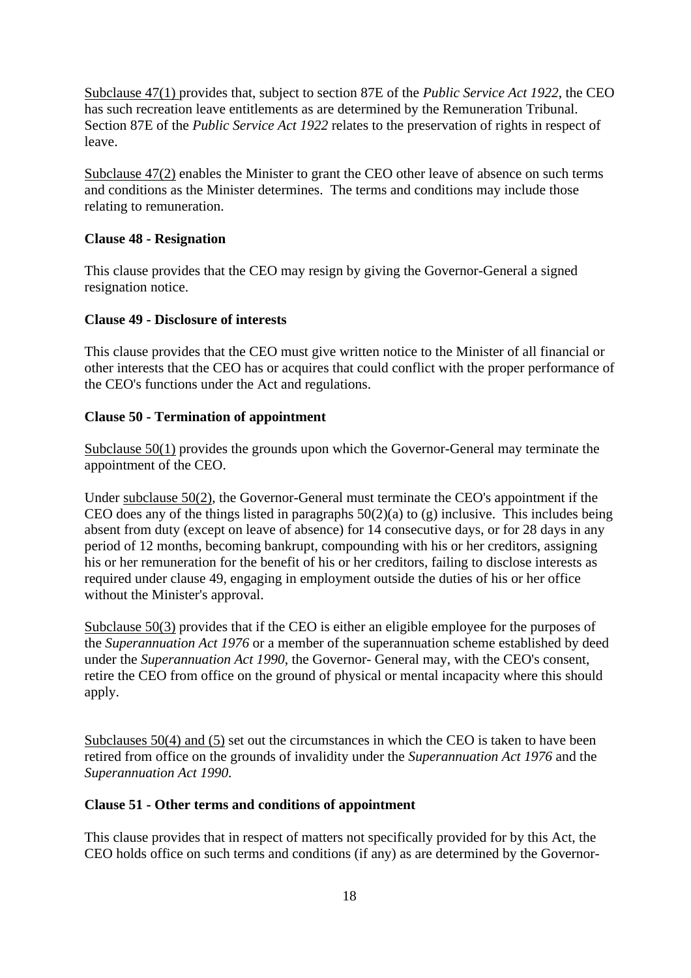Subclause 47(1) provides that, subject to section 87E of the *Public Service Act 1922*, the CEO has such recreation leave entitlements as are determined by the Remuneration Tribunal. Section 87E of the *Public Service Act 1922* relates to the preservation of rights in respect of leave.

Subclause 47(2) enables the Minister to grant the CEO other leave of absence on such terms and conditions as the Minister determines. The terms and conditions may include those relating to remuneration.

#### **Clause 48 - Resignation**

This clause provides that the CEO may resign by giving the Governor-General a signed resignation notice.

### **Clause 49 - Disclosure of interests**

This clause provides that the CEO must give written notice to the Minister of all financial or other interests that the CEO has or acquires that could conflict with the proper performance of the CEO's functions under the Act and regulations.

### **Clause 50 - Termination of appointment**

Subclause 50(1) provides the grounds upon which the Governor-General may terminate the appointment of the CEO.

Under subclause 50(2), the Governor-General must terminate the CEO's appointment if the CEO does any of the things listed in paragraphs  $50(2)(a)$  to (g) inclusive. This includes being absent from duty (except on leave of absence) for 14 consecutive days, or for 28 days in any period of 12 months, becoming bankrupt, compounding with his or her creditors, assigning his or her remuneration for the benefit of his or her creditors, failing to disclose interests as required under clause 49, engaging in employment outside the duties of his or her office without the Minister's approval.

Subclause 50(3) provides that if the CEO is either an eligible employee for the purposes of the *Superannuation Act 1976* or a member of the superannuation scheme established by deed under the *Superannuation Act 1990*, the Governor- General may, with the CEO's consent, retire the CEO from office on the ground of physical or mental incapacity where this should apply.

Subclauses 50(4) and (5) set out the circumstances in which the CEO is taken to have been retired from office on the grounds of invalidity under the *Superannuation Act 1976* and the *Superannuation Act 1990.*

### **Clause 51 - Other terms and conditions of appointment**

This clause provides that in respect of matters not specifically provided for by this Act, the CEO holds office on such terms and conditions (if any) as are determined by the Governor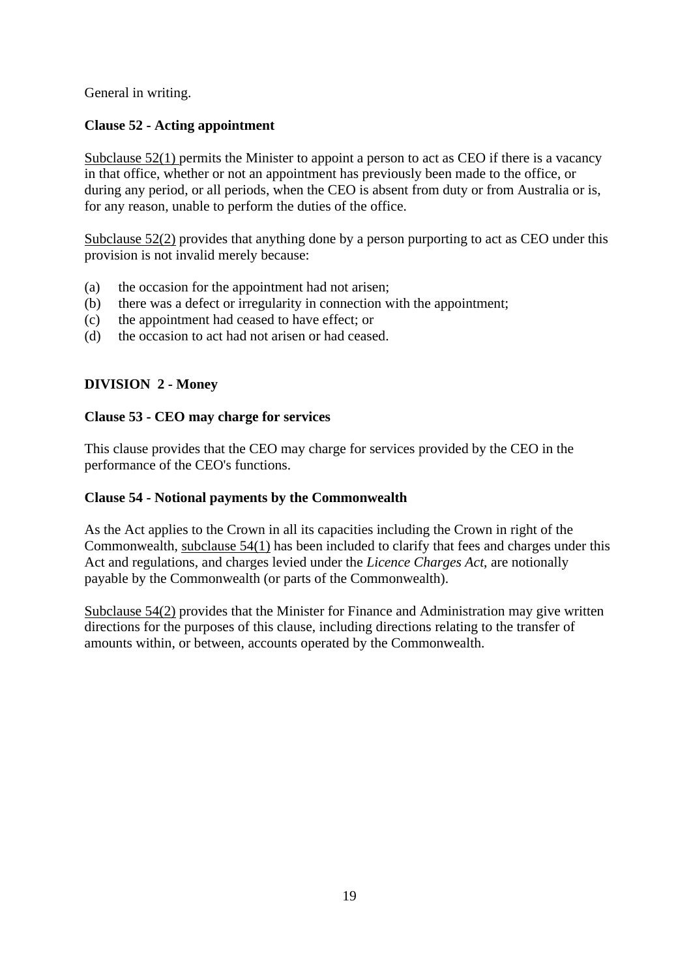General in writing.

# **Clause 52 - Acting appointment**

Subclause 52(1) permits the Minister to appoint a person to act as CEO if there is a vacancy in that office, whether or not an appointment has previously been made to the office, or during any period, or all periods, when the CEO is absent from duty or from Australia or is, for any reason, unable to perform the duties of the office.

Subclause 52(2) provides that anything done by a person purporting to act as CEO under this provision is not invalid merely because:

- (a) the occasion for the appointment had not arisen;
- (b) there was a defect or irregularity in connection with the appointment;
- (c) the appointment had ceased to have effect; or
- (d) the occasion to act had not arisen or had ceased.

# **DIVISION 2 - Money**

### **Clause 53 - CEO may charge for services**

This clause provides that the CEO may charge for services provided by the CEO in the performance of the CEO's functions.

# **Clause 54 - Notional payments by the Commonwealth**

As the Act applies to the Crown in all its capacities including the Crown in right of the Commonwealth, subclause 54(1) has been included to clarify that fees and charges under this Act and regulations, and charges levied under the *Licence Charges Act*, are notionally payable by the Commonwealth (or parts of the Commonwealth).

Subclause 54(2) provides that the Minister for Finance and Administration may give written directions for the purposes of this clause, including directions relating to the transfer of amounts within, or between, accounts operated by the Commonwealth.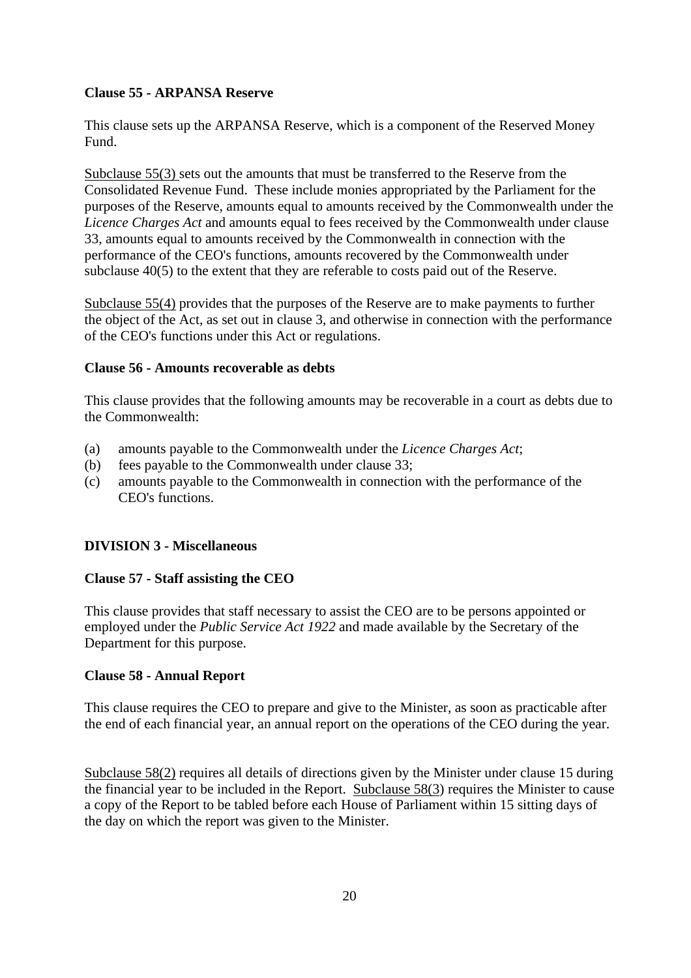# **Clause 55 - ARPANSA Reserve**

This clause sets up the ARPANSA Reserve, which is a component of the Reserved Money Fund.

Subclause 55(3) sets out the amounts that must be transferred to the Reserve from the Consolidated Revenue Fund. These include monies appropriated by the Parliament for the purposes of the Reserve, amounts equal to amounts received by the Commonwealth under the *Licence Charges Act* and amounts equal to fees received by the Commonwealth under clause 33, amounts equal to amounts received by the Commonwealth in connection with the performance of the CEO's functions, amounts recovered by the Commonwealth under subclause 40(5) to the extent that they are referable to costs paid out of the Reserve.

Subclause 55(4) provides that the purposes of the Reserve are to make payments to further the object of the Act, as set out in clause 3, and otherwise in connection with the performance of the CEO's functions under this Act or regulations.

#### **Clause 56 - Amounts recoverable as debts**

This clause provides that the following amounts may be recoverable in a court as debts due to the Commonwealth:

- (a) amounts payable to the Commonwealth under the *Licence Charges Act*;
- (b) fees payable to the Commonwealth under clause 33;
- (c) amounts payable to the Commonwealth in connection with the performance of the CEO's functions.

# **DIVISION 3 - Miscellaneous**

# **Clause 57 - Staff assisting the CEO**

This clause provides that staff necessary to assist the CEO are to be persons appointed or employed under the *Public Service Act 1922* and made available by the Secretary of the Department for this purpose.

#### **Clause 58 - Annual Report**

This clause requires the CEO to prepare and give to the Minister, as soon as practicable after the end of each financial year, an annual report on the operations of the CEO during the year.

Subclause 58(2) requires all details of directions given by the Minister under clause 15 during the financial year to be included in the Report. Subclause 58(3) requires the Minister to cause a copy of the Report to be tabled before each House of Parliament within 15 sitting days of the day on which the report was given to the Minister.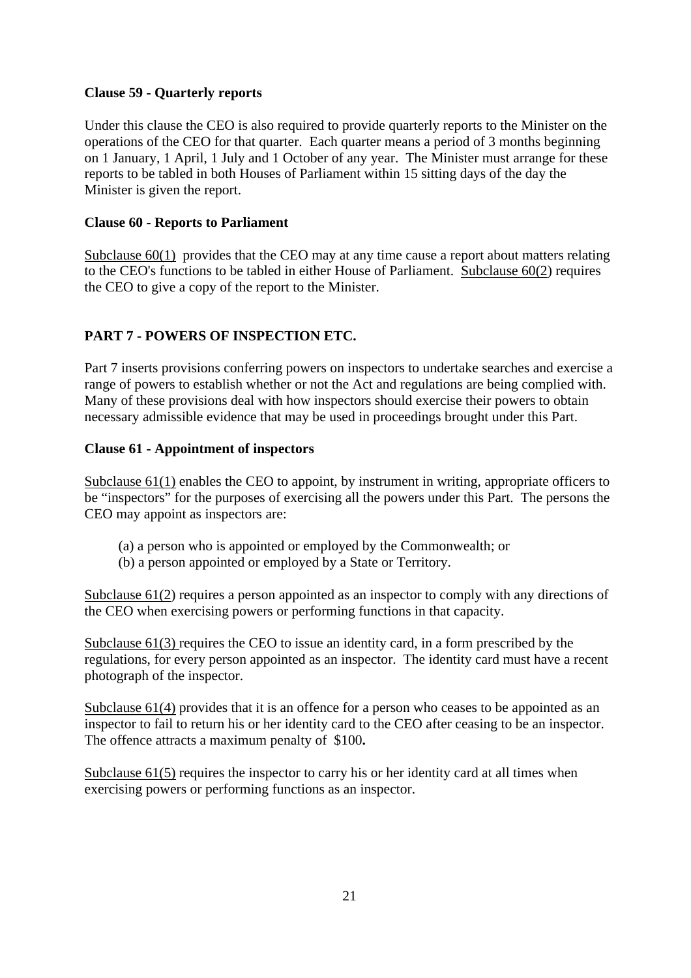# **Clause 59 - Quarterly reports**

Under this clause the CEO is also required to provide quarterly reports to the Minister on the operations of the CEO for that quarter. Each quarter means a period of 3 months beginning on 1 January, 1 April, 1 July and 1 October of any year. The Minister must arrange for these reports to be tabled in both Houses of Parliament within 15 sitting days of the day the Minister is given the report.

### **Clause 60 - Reports to Parliament**

Subclause 60(1) provides that the CEO may at any time cause a report about matters relating to the CEO's functions to be tabled in either House of Parliament. Subclause 60(2) requires the CEO to give a copy of the report to the Minister.

# **PART 7 - POWERS OF INSPECTION ETC.**

Part 7 inserts provisions conferring powers on inspectors to undertake searches and exercise a range of powers to establish whether or not the Act and regulations are being complied with. Many of these provisions deal with how inspectors should exercise their powers to obtain necessary admissible evidence that may be used in proceedings brought under this Part.

### **Clause 61 - Appointment of inspectors**

Subclause 61(1) enables the CEO to appoint, by instrument in writing, appropriate officers to be "inspectors" for the purposes of exercising all the powers under this Part. The persons the CEO may appoint as inspectors are:

- (a) a person who is appointed or employed by the Commonwealth; or
- (b) a person appointed or employed by a State or Territory.

Subclause 61(2) requires a person appointed as an inspector to comply with any directions of the CEO when exercising powers or performing functions in that capacity.

Subclause 61(3) requires the CEO to issue an identity card, in a form prescribed by the regulations, for every person appointed as an inspector. The identity card must have a recent photograph of the inspector.

Subclause 61(4) provides that it is an offence for a person who ceases to be appointed as an inspector to fail to return his or her identity card to the CEO after ceasing to be an inspector. The offence attracts a maximum penalty of \$100**.**

Subclause 61(5) requires the inspector to carry his or her identity card at all times when exercising powers or performing functions as an inspector.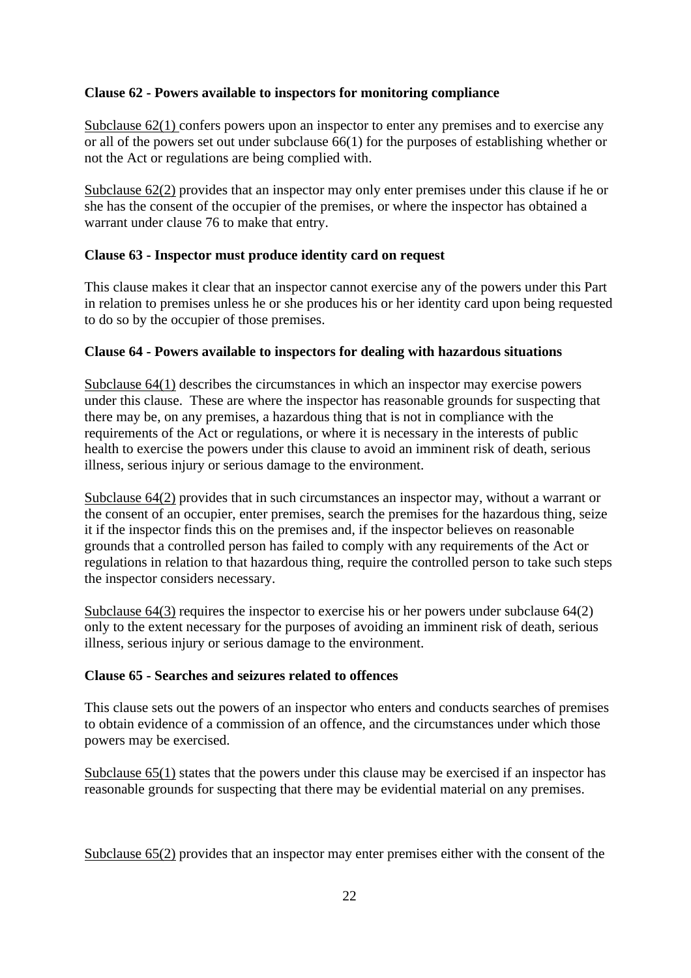# **Clause 62 - Powers available to inspectors for monitoring compliance**

Subclause 62(1) confers powers upon an inspector to enter any premises and to exercise any or all of the powers set out under subclause 66(1) for the purposes of establishing whether or not the Act or regulations are being complied with.

Subclause 62(2) provides that an inspector may only enter premises under this clause if he or she has the consent of the occupier of the premises, or where the inspector has obtained a warrant under clause 76 to make that entry.

# **Clause 63 - Inspector must produce identity card on request**

This clause makes it clear that an inspector cannot exercise any of the powers under this Part in relation to premises unless he or she produces his or her identity card upon being requested to do so by the occupier of those premises.

# **Clause 64 - Powers available to inspectors for dealing with hazardous situations**

Subclause 64(1) describes the circumstances in which an inspector may exercise powers under this clause. These are where the inspector has reasonable grounds for suspecting that there may be, on any premises, a hazardous thing that is not in compliance with the requirements of the Act or regulations, or where it is necessary in the interests of public health to exercise the powers under this clause to avoid an imminent risk of death, serious illness, serious injury or serious damage to the environment.

Subclause 64(2) provides that in such circumstances an inspector may, without a warrant or the consent of an occupier, enter premises, search the premises for the hazardous thing, seize it if the inspector finds this on the premises and, if the inspector believes on reasonable grounds that a controlled person has failed to comply with any requirements of the Act or regulations in relation to that hazardous thing, require the controlled person to take such steps the inspector considers necessary.

Subclause  $64(3)$  requires the inspector to exercise his or her powers under subclause  $64(2)$ only to the extent necessary for the purposes of avoiding an imminent risk of death, serious illness, serious injury or serious damage to the environment.

# **Clause 65 - Searches and seizures related to offences**

This clause sets out the powers of an inspector who enters and conducts searches of premises to obtain evidence of a commission of an offence, and the circumstances under which those powers may be exercised.

Subclause 65(1) states that the powers under this clause may be exercised if an inspector has reasonable grounds for suspecting that there may be evidential material on any premises.

Subclause 65(2) provides that an inspector may enter premises either with the consent of the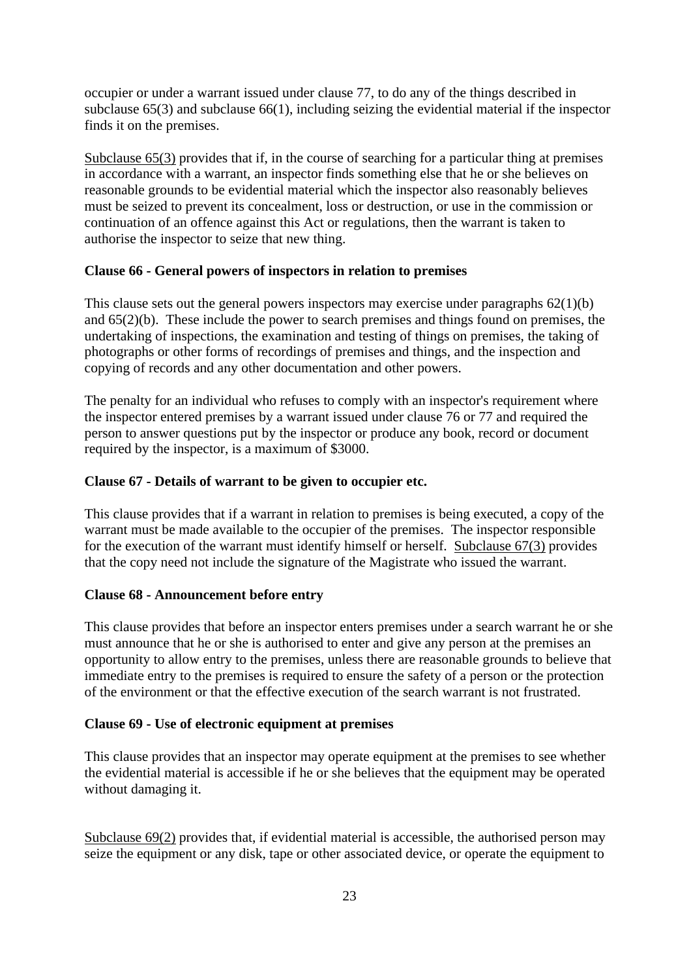occupier or under a warrant issued under clause 77, to do any of the things described in subclause 65(3) and subclause 66(1), including seizing the evidential material if the inspector finds it on the premises.

Subclause 65(3) provides that if, in the course of searching for a particular thing at premises in accordance with a warrant, an inspector finds something else that he or she believes on reasonable grounds to be evidential material which the inspector also reasonably believes must be seized to prevent its concealment, loss or destruction, or use in the commission or continuation of an offence against this Act or regulations, then the warrant is taken to authorise the inspector to seize that new thing.

#### **Clause 66 - General powers of inspectors in relation to premises**

This clause sets out the general powers inspectors may exercise under paragraphs 62(1)(b) and 65(2)(b). These include the power to search premises and things found on premises, the undertaking of inspections, the examination and testing of things on premises, the taking of photographs or other forms of recordings of premises and things, and the inspection and copying of records and any other documentation and other powers.

The penalty for an individual who refuses to comply with an inspector's requirement where the inspector entered premises by a warrant issued under clause 76 or 77 and required the person to answer questions put by the inspector or produce any book, record or document required by the inspector, is a maximum of \$3000.

#### **Clause 67 - Details of warrant to be given to occupier etc.**

This clause provides that if a warrant in relation to premises is being executed, a copy of the warrant must be made available to the occupier of the premises. The inspector responsible for the execution of the warrant must identify himself or herself. Subclause 67(3) provides that the copy need not include the signature of the Magistrate who issued the warrant.

#### **Clause 68 - Announcement before entry**

This clause provides that before an inspector enters premises under a search warrant he or she must announce that he or she is authorised to enter and give any person at the premises an opportunity to allow entry to the premises, unless there are reasonable grounds to believe that immediate entry to the premises is required to ensure the safety of a person or the protection of the environment or that the effective execution of the search warrant is not frustrated.

#### **Clause 69 - Use of electronic equipment at premises**

This clause provides that an inspector may operate equipment at the premises to see whether the evidential material is accessible if he or she believes that the equipment may be operated without damaging it.

Subclause 69(2) provides that, if evidential material is accessible, the authorised person may seize the equipment or any disk, tape or other associated device, or operate the equipment to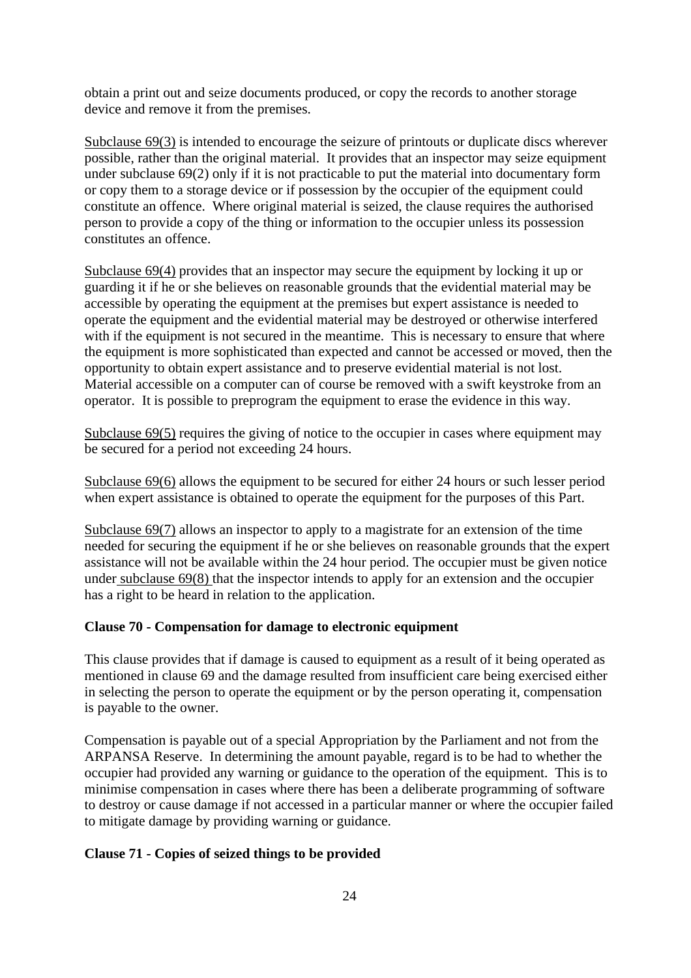obtain a print out and seize documents produced, or copy the records to another storage device and remove it from the premises.

Subclause 69(3) is intended to encourage the seizure of printouts or duplicate discs wherever possible, rather than the original material. It provides that an inspector may seize equipment under subclause 69(2) only if it is not practicable to put the material into documentary form or copy them to a storage device or if possession by the occupier of the equipment could constitute an offence. Where original material is seized, the clause requires the authorised person to provide a copy of the thing or information to the occupier unless its possession constitutes an offence.

Subclause 69(4) provides that an inspector may secure the equipment by locking it up or guarding it if he or she believes on reasonable grounds that the evidential material may be accessible by operating the equipment at the premises but expert assistance is needed to operate the equipment and the evidential material may be destroyed or otherwise interfered with if the equipment is not secured in the meantime. This is necessary to ensure that where the equipment is more sophisticated than expected and cannot be accessed or moved, then the opportunity to obtain expert assistance and to preserve evidential material is not lost. Material accessible on a computer can of course be removed with a swift keystroke from an operator. It is possible to preprogram the equipment to erase the evidence in this way.

Subclause 69(5) requires the giving of notice to the occupier in cases where equipment may be secured for a period not exceeding 24 hours.

Subclause 69(6) allows the equipment to be secured for either 24 hours or such lesser period when expert assistance is obtained to operate the equipment for the purposes of this Part.

Subclause 69(7) allows an inspector to apply to a magistrate for an extension of the time needed for securing the equipment if he or she believes on reasonable grounds that the expert assistance will not be available within the 24 hour period. The occupier must be given notice under subclause 69(8) that the inspector intends to apply for an extension and the occupier has a right to be heard in relation to the application.

#### **Clause 70 - Compensation for damage to electronic equipment**

This clause provides that if damage is caused to equipment as a result of it being operated as mentioned in clause 69 and the damage resulted from insufficient care being exercised either in selecting the person to operate the equipment or by the person operating it, compensation is payable to the owner.

Compensation is payable out of a special Appropriation by the Parliament and not from the ARPANSA Reserve. In determining the amount payable, regard is to be had to whether the occupier had provided any warning or guidance to the operation of the equipment. This is to minimise compensation in cases where there has been a deliberate programming of software to destroy or cause damage if not accessed in a particular manner or where the occupier failed to mitigate damage by providing warning or guidance.

#### **Clause 71 - Copies of seized things to be provided**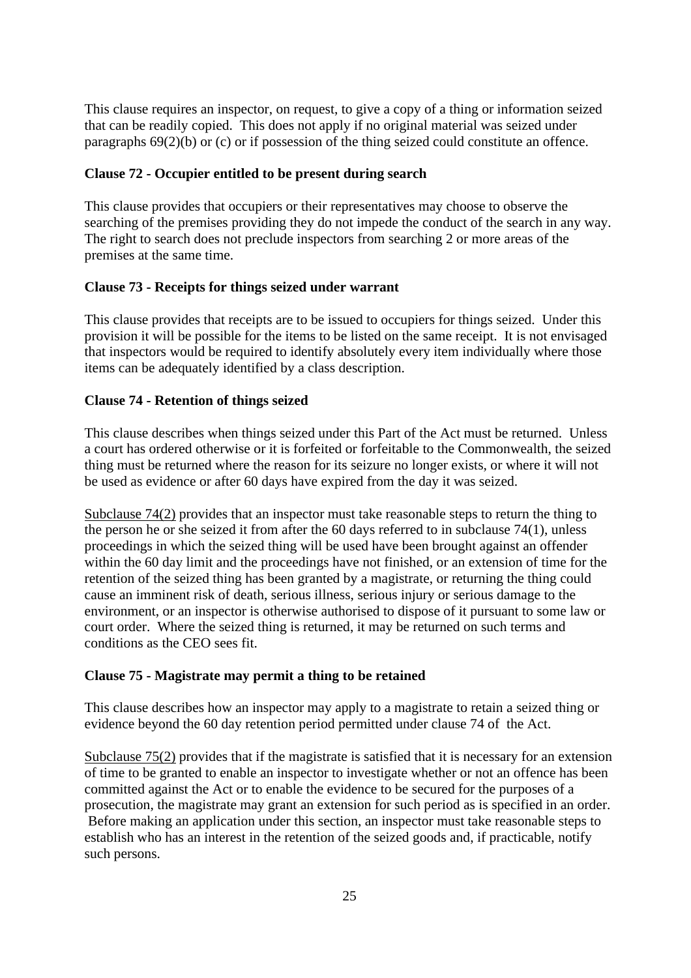This clause requires an inspector, on request, to give a copy of a thing or information seized that can be readily copied. This does not apply if no original material was seized under paragraphs 69(2)(b) or (c) or if possession of the thing seized could constitute an offence.

#### **Clause 72 - Occupier entitled to be present during search**

This clause provides that occupiers or their representatives may choose to observe the searching of the premises providing they do not impede the conduct of the search in any way. The right to search does not preclude inspectors from searching 2 or more areas of the premises at the same time.

#### **Clause 73 - Receipts for things seized under warrant**

This clause provides that receipts are to be issued to occupiers for things seized. Under this provision it will be possible for the items to be listed on the same receipt. It is not envisaged that inspectors would be required to identify absolutely every item individually where those items can be adequately identified by a class description.

#### **Clause 74 - Retention of things seized**

This clause describes when things seized under this Part of the Act must be returned. Unless a court has ordered otherwise or it is forfeited or forfeitable to the Commonwealth, the seized thing must be returned where the reason for its seizure no longer exists, or where it will not be used as evidence or after 60 days have expired from the day it was seized.

Subclause 74(2) provides that an inspector must take reasonable steps to return the thing to the person he or she seized it from after the 60 days referred to in subclause 74(1), unless proceedings in which the seized thing will be used have been brought against an offender within the 60 day limit and the proceedings have not finished, or an extension of time for the retention of the seized thing has been granted by a magistrate, or returning the thing could cause an imminent risk of death, serious illness, serious injury or serious damage to the environment, or an inspector is otherwise authorised to dispose of it pursuant to some law or court order. Where the seized thing is returned, it may be returned on such terms and conditions as the CEO sees fit.

#### **Clause 75 - Magistrate may permit a thing to be retained**

This clause describes how an inspector may apply to a magistrate to retain a seized thing or evidence beyond the 60 day retention period permitted under clause 74 of the Act.

Subclause 75(2) provides that if the magistrate is satisfied that it is necessary for an extension of time to be granted to enable an inspector to investigate whether or not an offence has been committed against the Act or to enable the evidence to be secured for the purposes of a prosecution, the magistrate may grant an extension for such period as is specified in an order. Before making an application under this section, an inspector must take reasonable steps to establish who has an interest in the retention of the seized goods and, if practicable, notify such persons.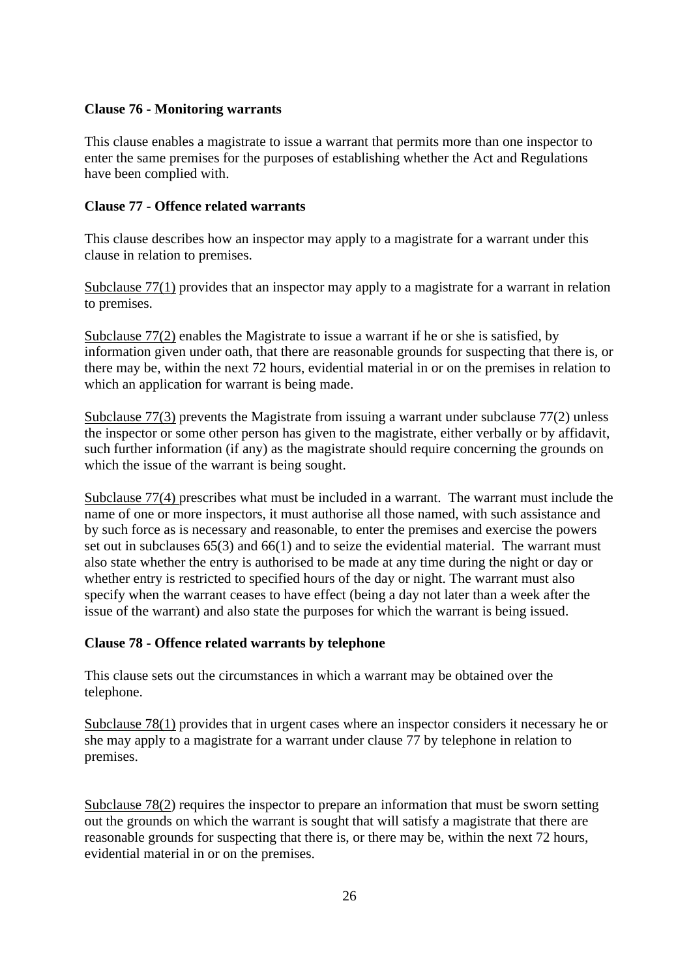#### **Clause 76 - Monitoring warrants**

This clause enables a magistrate to issue a warrant that permits more than one inspector to enter the same premises for the purposes of establishing whether the Act and Regulations have been complied with.

#### **Clause 77 - Offence related warrants**

This clause describes how an inspector may apply to a magistrate for a warrant under this clause in relation to premises.

Subclause 77(1) provides that an inspector may apply to a magistrate for a warrant in relation to premises.

Subclause 77(2) enables the Magistrate to issue a warrant if he or she is satisfied, by information given under oath, that there are reasonable grounds for suspecting that there is, or there may be, within the next 72 hours, evidential material in or on the premises in relation to which an application for warrant is being made.

Subclause 77(3) prevents the Magistrate from issuing a warrant under subclause 77(2) unless the inspector or some other person has given to the magistrate, either verbally or by affidavit, such further information (if any) as the magistrate should require concerning the grounds on which the issue of the warrant is being sought.

Subclause 77(4) prescribes what must be included in a warrant. The warrant must include the name of one or more inspectors, it must authorise all those named, with such assistance and by such force as is necessary and reasonable, to enter the premises and exercise the powers set out in subclauses 65(3) and 66(1) and to seize the evidential material. The warrant must also state whether the entry is authorised to be made at any time during the night or day or whether entry is restricted to specified hours of the day or night. The warrant must also specify when the warrant ceases to have effect (being a day not later than a week after the issue of the warrant) and also state the purposes for which the warrant is being issued.

#### **Clause 78 - Offence related warrants by telephone**

This clause sets out the circumstances in which a warrant may be obtained over the telephone.

Subclause 78(1) provides that in urgent cases where an inspector considers it necessary he or she may apply to a magistrate for a warrant under clause 77 by telephone in relation to premises.

Subclause 78(2) requires the inspector to prepare an information that must be sworn setting out the grounds on which the warrant is sought that will satisfy a magistrate that there are reasonable grounds for suspecting that there is, or there may be, within the next 72 hours, evidential material in or on the premises.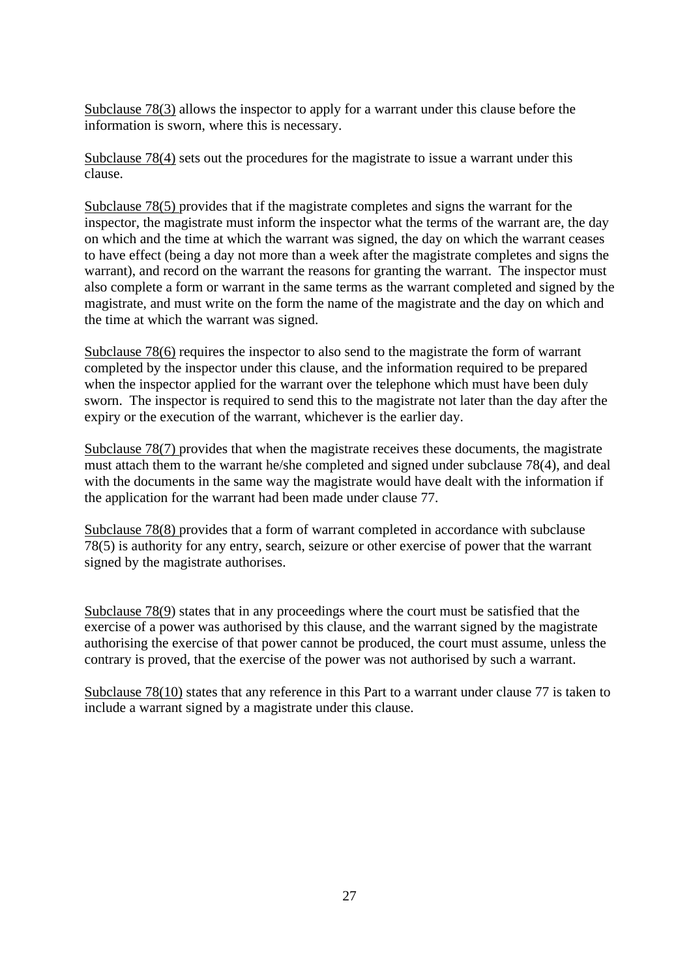Subclause 78(3) allows the inspector to apply for a warrant under this clause before the information is sworn, where this is necessary.

Subclause 78(4) sets out the procedures for the magistrate to issue a warrant under this clause.

Subclause 78(5) provides that if the magistrate completes and signs the warrant for the inspector, the magistrate must inform the inspector what the terms of the warrant are, the day on which and the time at which the warrant was signed, the day on which the warrant ceases to have effect (being a day not more than a week after the magistrate completes and signs the warrant), and record on the warrant the reasons for granting the warrant. The inspector must also complete a form or warrant in the same terms as the warrant completed and signed by the magistrate, and must write on the form the name of the magistrate and the day on which and the time at which the warrant was signed.

Subclause 78(6) requires the inspector to also send to the magistrate the form of warrant completed by the inspector under this clause, and the information required to be prepared when the inspector applied for the warrant over the telephone which must have been duly sworn. The inspector is required to send this to the magistrate not later than the day after the expiry or the execution of the warrant, whichever is the earlier day.

Subclause 78(7) provides that when the magistrate receives these documents, the magistrate must attach them to the warrant he/she completed and signed under subclause 78(4), and deal with the documents in the same way the magistrate would have dealt with the information if the application for the warrant had been made under clause 77.

Subclause 78(8) provides that a form of warrant completed in accordance with subclause 78(5) is authority for any entry, search, seizure or other exercise of power that the warrant signed by the magistrate authorises.

Subclause 78(9) states that in any proceedings where the court must be satisfied that the exercise of a power was authorised by this clause, and the warrant signed by the magistrate authorising the exercise of that power cannot be produced, the court must assume, unless the contrary is proved, that the exercise of the power was not authorised by such a warrant.

Subclause 78(10) states that any reference in this Part to a warrant under clause 77 is taken to include a warrant signed by a magistrate under this clause.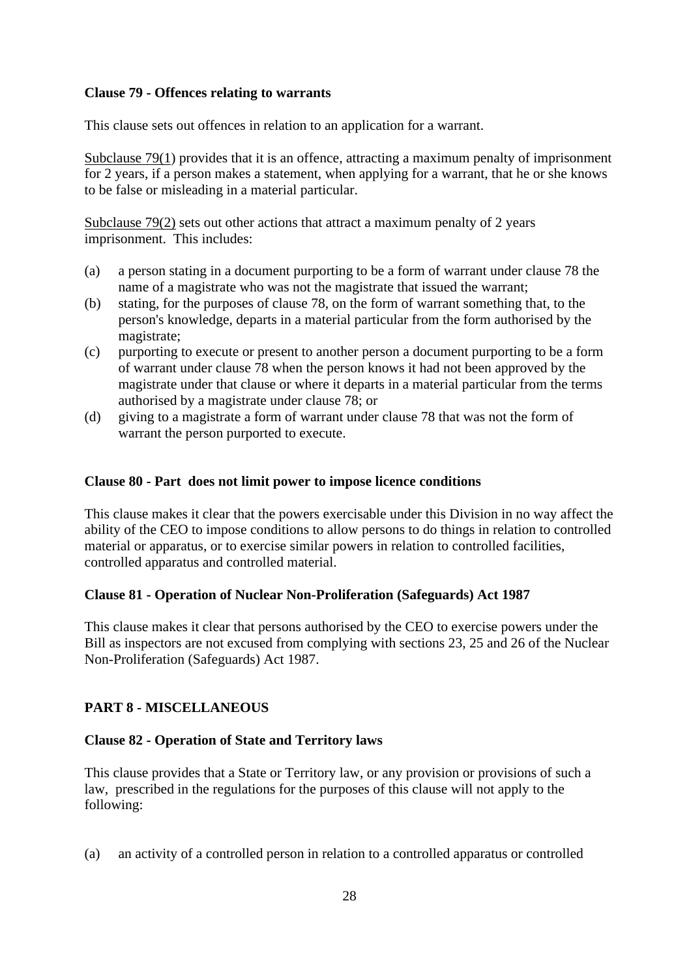### **Clause 79 - Offences relating to warrants**

This clause sets out offences in relation to an application for a warrant.

Subclause 79(1) provides that it is an offence, attracting a maximum penalty of imprisonment for 2 years, if a person makes a statement, when applying for a warrant, that he or she knows to be false or misleading in a material particular.

Subclause 79(2) sets out other actions that attract a maximum penalty of 2 years imprisonment. This includes:

- (a) a person stating in a document purporting to be a form of warrant under clause 78 the name of a magistrate who was not the magistrate that issued the warrant;
- (b) stating, for the purposes of clause 78, on the form of warrant something that, to the person's knowledge, departs in a material particular from the form authorised by the magistrate;
- (c) purporting to execute or present to another person a document purporting to be a form of warrant under clause 78 when the person knows it had not been approved by the magistrate under that clause or where it departs in a material particular from the terms authorised by a magistrate under clause 78; or
- (d) giving to a magistrate a form of warrant under clause 78 that was not the form of warrant the person purported to execute.

### **Clause 80 - Part does not limit power to impose licence conditions**

This clause makes it clear that the powers exercisable under this Division in no way affect the ability of the CEO to impose conditions to allow persons to do things in relation to controlled material or apparatus, or to exercise similar powers in relation to controlled facilities, controlled apparatus and controlled material.

# **Clause 81 - Operation of Nuclear Non-Proliferation (Safeguards) Act 1987**

This clause makes it clear that persons authorised by the CEO to exercise powers under the Bill as inspectors are not excused from complying with sections 23, 25 and 26 of the Nuclear Non-Proliferation (Safeguards) Act 1987.

# **PART 8 - MISCELLANEOUS**

# **Clause 82 - Operation of State and Territory laws**

This clause provides that a State or Territory law, or any provision or provisions of such a law, prescribed in the regulations for the purposes of this clause will not apply to the following:

(a) an activity of a controlled person in relation to a controlled apparatus or controlled